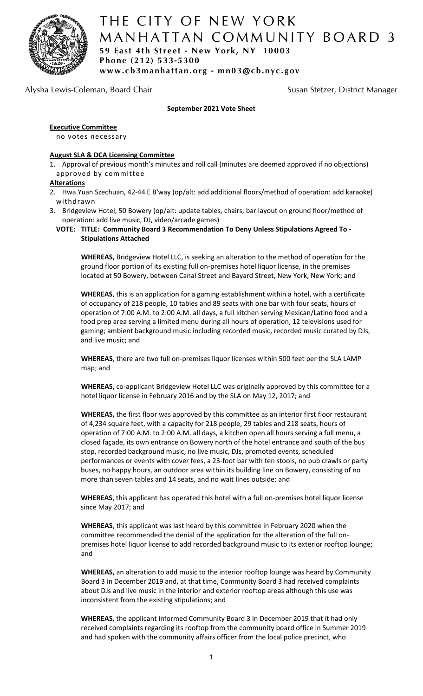

# THE CITY OF NEW YORK M ANHATTAN COMMUNITY BOARD 3 **59 East 4th Street - New York, NY 10003 Phone (212) 533-5300 www.cb3manhattan.org - mn03@cb.nyc.gov**

# Alysha Lewis-Coleman, Board Chair Susan Susan Stetzer, District Manager

# **September 2021 Vote Sheet**

### **Executive Committee**

no votes necessary

### **August SLA & DCA Licensing Committee**

1. Approval of previous month's minutes and roll call (minutes are deemed approved if no objections) approved by committee

### **Alterations**

- 2. Hwa Yuan Szechuan, 42-44 E B'way (op/alt: add additional floors/method of operation: add karaoke) withdrawn
- 3. Bridgeview Hotel, 50 Bowery (op/alt: update tables, chairs, bar layout on ground floor/method of operation: add live music, DJ, video/arcade games)

### **VOTE: TITLE: Community Board 3 Recommendation To Deny Unless Stipulations Agreed To - Stipulations Attached**

**WHEREAS,** Bridgeview Hotel LLC, is seeking an alteration to the method of operation for the ground floor portion of its existing full on-premises hotel liquor license, in the premises located at 50 Bowery, between Canal Street and Bayard Street, New York, New York; and

**WHEREAS**, this is an application for a gaming establishment within a hotel, with a certificate of occupancy of 218 people, 10 tables and 89 seats with one bar with four seats, hours of operation of 7:00 A.M. to 2:00 A.M. all days, a full kitchen serving Mexican/Latino food and a food prep area serving a limited menu during all hours of operation, 12 televisions used for gaming; ambient background music including recorded music, recorded music curated by DJs, and live music; and

**WHEREAS**, there are two full on-premises liquor licenses within 500 feet per the SLA LAMP map; and

**WHEREAS,** co-applicant Bridgeview Hotel LLC was originally approved by this committee for a hotel liquor license in February 2016 and by the SLA on May 12, 2017; and

**WHEREAS,** the first floor was approved by this committee as an interior first floor restaurant of 4,234 square feet, with a capacity for 218 people, 29 tables and 218 seats, hours of operation of 7:00 A.M. to 2:00 A.M. all days, a kitchen open all hours serving a full menu, a closed façade, its own entrance on Bowery north of the hotel entrance and south of the bus stop, recorded background music, no live music, DJs, promoted events, scheduled performances or events with cover fees, a 23-foot bar with ten stools, no pub crawls or party buses, no happy hours, an outdoor area within its building line on Bowery, consisting of no more than seven tables and 14 seats, and no wait lines outside; and

**WHEREAS**, this applicant has operated this hotel with a full on-premises hotel liquor license since May 2017; and

**WHEREAS**, this applicant was last heard by this committee in February 2020 when the committee recommended the denial of the application for the alteration of the full onpremises hotel liquor license to add recorded background music to its exterior rooftop lounge; and

**WHEREAS,** an alteration to add music to the interior rooftop lounge was heard by Community Board 3 in December 2019 and, at that time, Community Board 3 had received complaints about DJs and live music in the interior and exterior rooftop areas although this use was inconsistent from the existing stipulations; and

**WHEREAS,** the applicant informed Community Board 3 in December 2019 that it had only received complaints regarding its rooftop from the community board office in Summer 2019 and had spoken with the community affairs officer from the local police precinct, who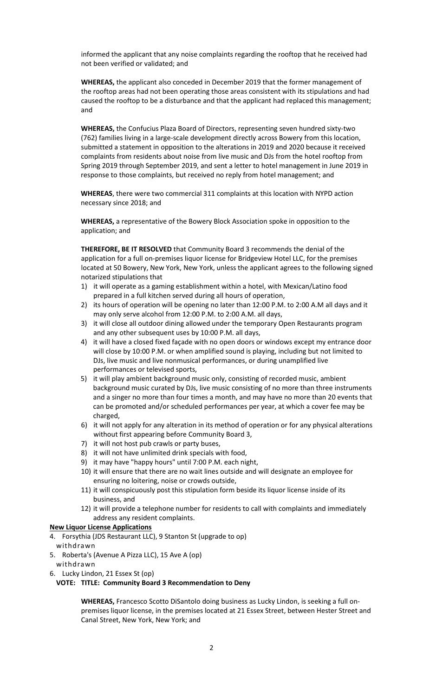informed the applicant that any noise complaints regarding the rooftop that he received had not been verified or validated; and

**WHEREAS,** the applicant also conceded in December 2019 that the former management of the rooftop areas had not been operating those areas consistent with its stipulations and had caused the rooftop to be a disturbance and that the applicant had replaced this management; and

**WHEREAS,** the Confucius Plaza Board of Directors, representing seven hundred sixty-two (762) families living in a large-scale development directly across Bowery from this location, submitted a statement in opposition to the alterations in 2019 and 2020 because it received complaints from residents about noise from live music and DJs from the hotel rooftop from Spring 2019 through September 2019, and sent a letter to hotel management in June 2019 in response to those complaints, but received no reply from hotel management; and

**WHEREAS**, there were two commercial 311 complaints at this location with NYPD action necessary since 2018; and

**WHEREAS,** a representative of the Bowery Block Association spoke in opposition to the application; and

**THEREFORE, BE IT RESOLVED** that Community Board 3 recommends the denial of the application for a full on-premises liquor license for Bridgeview Hotel LLC, for the premises located at 50 Bowery, New York, New York, unless the applicant agrees to the following signed notarized stipulations that

- 1) it will operate as a gaming establishment within a hotel, with Mexican/Latino food prepared in a full kitchen served during all hours of operation,
- 2) its hours of operation will be opening no later than 12:00 P.M. to 2:00 A.M all days and it may only serve alcohol from 12:00 P.M. to 2:00 A.M. all days,
- 3) it will close all outdoor dining allowed under the temporary Open Restaurants program and any other subsequent uses by 10:00 P.M. all days,
- 4) it will have a closed fixed façade with no open doors or windows except my entrance door will close by 10:00 P.M. or when amplified sound is playing, including but not limited to DJs, live music and live nonmusical performances, or during unamplified live performances or televised sports,
- 5) it will play ambient background music only, consisting of recorded music, ambient background music curated by DJs, live music consisting of no more than three instruments and a singer no more than four times a month, and may have no more than 20 events that can be promoted and/or scheduled performances per year, at which a cover fee may be charged,
- 6) it will not apply for any alteration in its method of operation or for any physical alterations without first appearing before Community Board 3,
- 7) it will not host pub crawls or party buses,
- 8) it will not have unlimited drink specials with food,
- 9) it may have "happy hours" until 7:00 P.M. each night,
- 10) it will ensure that there are no wait lines outside and will designate an employee for ensuring no loitering, noise or crowds outside,
- 11) it will conspicuously post this stipulation form beside its liquor license inside of its business, and
- 12) it will provide a telephone number for residents to call with complaints and immediately address any resident complaints.

#### **New Liquor License Applications**

- 4. Forsythia (JDS Restaurant LLC), 9 Stanton St (upgrade to op)
- withdrawn
- 5. Roberta's (Avenue A Pizza LLC), 15 Ave A (op)
- withdrawn
- 6. Lucky Lindon, 21 Essex St (op)

### **VOTE: TITLE: Community Board 3 Recommendation to Deny**

**WHEREAS,** Francesco Scotto DiSantolo doing business as Lucky Lindon, is seeking a full onpremises liquor license, in the premises located at 21 Essex Street, between Hester Street and Canal Street, New York, New York; and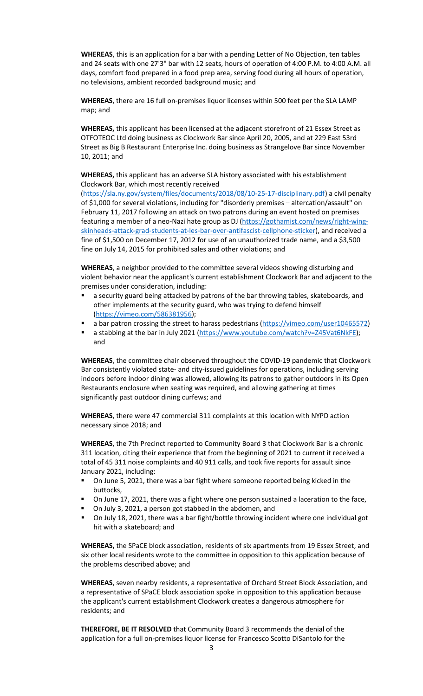**WHEREAS**, this is an application for a bar with a pending Letter of No Objection, ten tables and 24 seats with one 27'3" bar with 12 seats, hours of operation of 4:00 P.M. to 4:00 A.M. all days, comfort food prepared in a food prep area, serving food during all hours of operation, no televisions, ambient recorded background music; and

**WHEREAS**, there are 16 full on-premises liquor licenses within 500 feet per the SLA LAMP map; and

**WHEREAS,** this applicant has been licensed at the adjacent storefront of 21 Essex Street as OTFOTEOC Ltd doing business as Clockwork Bar since April 20, 2005, and at 229 East 53rd Street as Big B Restaurant Enterprise Inc. doing business as Strangelove Bar since November 10, 2011; and

**WHEREAS,** this applicant has an adverse SLA history associated with his establishment Clockwork Bar, which most recently received

[\(https://sla.ny.gov/system/files/documents/2018/08/10-25-17-disciplinary.pdf\)](https://sla.ny.gov/system/files/documents/2018/08/10-25-17-disciplinary.pdf) a civil penalty of \$1,000 for several violations, including for "disorderly premises – altercation/assault" on February 11, 2017 following an attack on two patrons during an event hosted on premises featuring a member of a neo-Nazi hate group as DJ (https://gothamist.com/news/right-wingskinheads-attack-grad-students-at-les-bar-over-antifascist-cellphone-sticker), and received a fine of \$1,500 on December 17, 2012 for use of an unauthorized trade name, and a \$3,500 fine on July 14, 2015 for prohibited sales and other violations; and

**WHEREAS**, a neighbor provided to the committee several videos showing disturbing and violent behavior near the applicant's current establishment Clockwork Bar and adjacent to the premises under consideration, including:

- a security guard being attacked by patrons of the bar throwing tables, skateboards, and other implements at the security guard, who was trying to defend himself [\(https://vimeo.com/586381956\)](https://vimeo.com/586381956);
- a bar patron crossing the street to harass pedestrians [\(https://vimeo.com/user10465572\)](https://vimeo.com/user10465572)
- a stabbing at the bar in July 2021 [\(https://www.youtube.com/watch?v=Z45Vat6NkFE\)](https://www.youtube.com/watch?v=Z45Vat6NkFE); and

**WHEREAS**, the committee chair observed throughout the COVID-19 pandemic that Clockwork Bar consistently violated state- and city-issued guidelines for operations, including serving indoors before indoor dining was allowed, allowing its patrons to gather outdoors in its Open Restaurants enclosure when seating was required, and allowing gathering at times significantly past outdoor dining curfews; and

**WHEREAS**, there were 47 commercial 311 complaints at this location with NYPD action necessary since 2018; and

**WHEREAS**, the 7th Precinct reported to Community Board 3 that Clockwork Bar is a chronic 311 location, citing their experience that from the beginning of 2021 to current it received a total of 45 311 noise complaints and 40 911 calls, and took five reports for assault since January 2021, including:

- On June 5, 2021, there was a bar fight where someone reported being kicked in the buttocks,
- On June 17, 2021, there was a fight where one person sustained a laceration to the face,
- On July 3, 2021, a person got stabbed in the abdomen, and
- On July 18, 2021, there was a bar fight/bottle throwing incident where one individual got hit with a skateboard; and

**WHEREAS,** the SPaCE block association, residents of six apartments from 19 Essex Street, and six other local residents wrote to the committee in opposition to this application because of the problems described above; and

**WHEREAS**, seven nearby residents, a representative of Orchard Street Block Association, and a representative of SPaCE block association spoke in opposition to this application because the applicant's current establishment Clockwork creates a dangerous atmosphere for residents; and

**THEREFORE, BE IT RESOLVED** that Community Board 3 recommends the denial of the application for a full on-premises liquor license for Francesco Scotto DiSantolo for the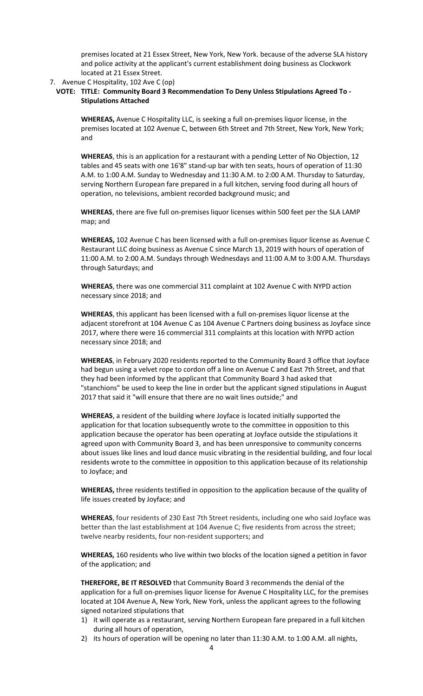premises located at 21 Essex Street, New York, New York. because of the adverse SLA history and police activity at the applicant's current establishment doing business as Clockwork located at 21 Essex Street.

### 7. Avenue C Hospitality, 102 Ave C (op)

### **VOTE: TITLE: Community Board 3 Recommendation To Deny Unless Stipulations Agreed To - Stipulations Attached**

**WHEREAS,** Avenue C Hospitality LLC, is seeking a full on-premises liquor license, in the premises located at 102 Avenue C, between 6th Street and 7th Street, New York, New York; and

**WHEREAS**, this is an application for a restaurant with a pending Letter of No Objection, 12 tables and 45 seats with one 16'8" stand-up bar with ten seats, hours of operation of 11:30 A.M. to 1:00 A.M. Sunday to Wednesday and 11:30 A.M. to 2:00 A.M. Thursday to Saturday, serving Northern European fare prepared in a full kitchen, serving food during all hours of operation, no televisions, ambient recorded background music; and

**WHEREAS**, there are five full on-premises liquor licenses within 500 feet per the SLA LAMP map; and

**WHEREAS,** 102 Avenue C has been licensed with a full on-premises liquor license as Avenue C Restaurant LLC doing business as Avenue C since March 13, 2019 with hours of operation of 11:00 A.M. to 2:00 A.M. Sundays through Wednesdays and 11:00 A.M to 3:00 A.M. Thursdays through Saturdays; and

**WHEREAS**, there was one commercial 311 complaint at 102 Avenue C with NYPD action necessary since 2018; and

**WHEREAS**, this applicant has been licensed with a full on-premises liquor license at the adjacent storefront at 104 Avenue C as 104 Avenue C Partners doing business as Joyface since 2017, where there were 16 commercial 311 complaints at this location with NYPD action necessary since 2018; and

**WHEREAS**, in February 2020 residents reported to the Community Board 3 office that Joyface had begun using a velvet rope to cordon off a line on Avenue C and East 7th Street, and that they had been informed by the applicant that Community Board 3 had asked that "stanchions" be used to keep the line in order but the applicant signed stipulations in August 2017 that said it "will ensure that there are no wait lines outside;" and

**WHEREAS**, a resident of the building where Joyface is located initially supported the application for that location subsequently wrote to the committee in opposition to this application because the operator has been operating at Joyface outside the stipulations it agreed upon with Community Board 3, and has been unresponsive to community concerns about issues like lines and loud dance music vibrating in the residential building, and four local residents wrote to the committee in opposition to this application because of its relationship to Joyface; and

**WHEREAS,** three residents testified in opposition to the application because of the quality of life issues created by Joyface; and

**WHEREAS**, four residents of 230 East 7th Street residents, including one who said Joyface was better than the last establishment at 104 Avenue C; five residents from across the street; twelve nearby residents, four non-resident supporters; and

**WHEREAS,** 160 residents who live within two blocks of the location signed a petition in favor of the application; and

**THEREFORE, BE IT RESOLVED** that Community Board 3 recommends the denial of the application for a full on-premises liquor license for Avenue C Hospitality LLC, for the premises located at 104 Avenue A, New York, New York, unless the applicant agrees to the following signed notarized stipulations that

- 1) it will operate as a restaurant, serving Northern European fare prepared in a full kitchen during all hours of operation,
- 2) its hours of operation will be opening no later than 11:30 A.M. to 1:00 A.M. all nights,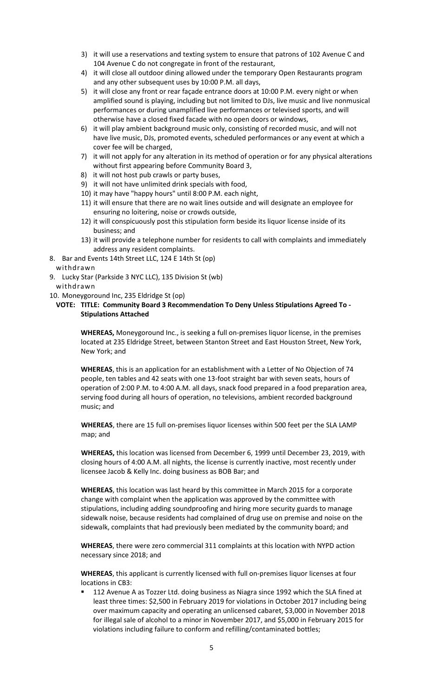- 3) it will use a reservations and texting system to ensure that patrons of 102 Avenue C and 104 Avenue C do not congregate in front of the restaurant,
- 4) it will close all outdoor dining allowed under the temporary Open Restaurants program and any other subsequent uses by 10:00 P.M. all days,
- 5) it will close any front or rear façade entrance doors at 10:00 P.M. every night or when amplified sound is playing, including but not limited to DJs, live music and live nonmusical performances or during unamplified live performances or televised sports, and will otherwise have a closed fixed facade with no open doors or windows,
- 6) it will play ambient background music only, consisting of recorded music, and will not have live music, DJs, promoted events, scheduled performances or any event at which a cover fee will be charged,
- 7) it will not apply for any alteration in its method of operation or for any physical alterations without first appearing before Community Board 3,
- 8) it will not host pub crawls or party buses,
- 9) it will not have unlimited drink specials with food,
- 10) it may have "happy hours" until 8:00 P.M. each night,
- 11) it will ensure that there are no wait lines outside and will designate an employee for ensuring no loitering, noise or crowds outside,
- 12) it will conspicuously post this stipulation form beside its liquor license inside of its business; and
- 13) it will provide a telephone number for residents to call with complaints and immediately address any resident complaints.
- 8. Bar and Events 14th Street LLC, 124 E 14th St (op)

withdrawn

- 9. Lucky Star (Parkside 3 NYC LLC), 135 Division St (wb) withdrawn
- 10. Moneygoround Inc, 235 Eldridge St (op)
	- **VOTE: TITLE: Community Board 3 Recommendation To Deny Unless Stipulations Agreed To - Stipulations Attached**

**WHEREAS,** Moneygoround Inc., is seeking a full on-premises liquor license, in the premises located at 235 Eldridge Street, between Stanton Street and East Houston Street, New York, New York; and

**WHEREAS**, this is an application for an establishment with a Letter of No Objection of 74 people, ten tables and 42 seats with one 13-foot straight bar with seven seats, hours of operation of 2:00 P.M. to 4:00 A.M. all days, snack food prepared in a food preparation area, serving food during all hours of operation, no televisions, ambient recorded background music; and

**WHEREAS**, there are 15 full on-premises liquor licenses within 500 feet per the SLA LAMP map; and

**WHEREAS,** this location was licensed from December 6, 1999 until December 23, 2019, with closing hours of 4:00 A.M. all nights, the license is currently inactive, most recently under licensee Jacob & Kelly Inc. doing business as BOB Bar; and

**WHEREAS**, this location was last heard by this committee in March 2015 for a corporate change with complaint when the application was approved by the committee with stipulations, including adding soundproofing and hiring more security guards to manage sidewalk noise, because residents had complained of drug use on premise and noise on the sidewalk, complaints that had previously been mediated by the community board; and

**WHEREAS**, there were zero commercial 311 complaints at this location with NYPD action necessary since 2018; and

**WHEREAS**, this applicant is currently licensed with full on-premises liquor licenses at four locations in CB3:

 112 Avenue A as Tozzer Ltd. doing business as Niagra since 1992 which the SLA fined at least three times: \$2,500 in February 2019 for violations in October 2017 including being over maximum capacity and operating an unlicensed cabaret, \$3,000 in November 2018 for illegal sale of alcohol to a minor in November 2017, and \$5,000 in February 2015 for violations including failure to conform and refilling/contaminated bottles;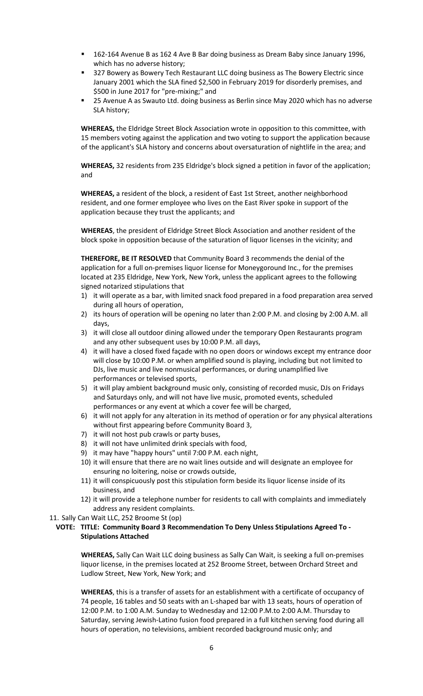- 162-164 Avenue B as 162 4 Ave B Bar doing business as Dream Baby since January 1996, which has no adverse history;
- 327 Bowery as Bowery Tech Restaurant LLC doing business as The Bowery Electric since January 2001 which the SLA fined \$2,500 in February 2019 for disorderly premises, and \$500 in June 2017 for "pre-mixing;" and
- 25 Avenue A as Swauto Ltd. doing business as Berlin since May 2020 which has no adverse SLA history;

**WHEREAS,** the Eldridge Street Block Association wrote in opposition to this committee, with 15 members voting against the application and two voting to support the application because of the applicant's SLA history and concerns about oversaturation of nightlife in the area; and

**WHEREAS,** 32 residents from 235 Eldridge's block signed a petition in favor of the application; and

**WHEREAS,** a resident of the block, a resident of East 1st Street, another neighborhood resident, and one former employee who lives on the East River spoke in support of the application because they trust the applicants; and

**WHEREAS**, the president of Eldridge Street Block Association and another resident of the block spoke in opposition because of the saturation of liquor licenses in the vicinity; and

**THEREFORE, BE IT RESOLVED** that Community Board 3 recommends the denial of the application for a full on-premises liquor license for Moneygoround Inc., for the premises located at 235 Eldridge, New York, New York, unless the applicant agrees to the following signed notarized stipulations that

- 1) it will operate as a bar, with limited snack food prepared in a food preparation area served during all hours of operation,
- 2) its hours of operation will be opening no later than 2:00 P.M. and closing by 2:00 A.M. all days,
- 3) it will close all outdoor dining allowed under the temporary Open Restaurants program and any other subsequent uses by 10:00 P.M. all days,
- 4) it will have a closed fixed façade with no open doors or windows except my entrance door will close by 10:00 P.M. or when amplified sound is playing, including but not limited to DJs, live music and live nonmusical performances, or during unamplified live performances or televised sports,
- 5) it will play ambient background music only, consisting of recorded music, DJs on Fridays and Saturdays only, and will not have live music, promoted events, scheduled performances or any event at which a cover fee will be charged,
- 6) it will not apply for any alteration in its method of operation or for any physical alterations without first appearing before Community Board 3,
- 7) it will not host pub crawls or party buses,
- 8) it will not have unlimited drink specials with food,
- 9) it may have "happy hours" until 7:00 P.M. each night,
- 10) it will ensure that there are no wait lines outside and will designate an employee for ensuring no loitering, noise or crowds outside,
- 11) it will conspicuously post this stipulation form beside its liquor license inside of its business, and
- 12) it will provide a telephone number for residents to call with complaints and immediately address any resident complaints.
- 11. Sally Can Wait LLC, 252 Broome St (op)

### **VOTE: TITLE: Community Board 3 Recommendation To Deny Unless Stipulations Agreed To - Stipulations Attached**

**WHEREAS,** Sally Can Wait LLC doing business as Sally Can Wait, is seeking a full on-premises liquor license, in the premises located at 252 Broome Street, between Orchard Street and Ludlow Street, New York, New York; and

**WHEREAS**, this is a transfer of assets for an establishment with a certificate of occupancy of 74 people, 16 tables and 50 seats with an L-shaped bar with 13 seats, hours of operation of 12:00 P.M. to 1:00 A.M. Sunday to Wednesday and 12:00 P.M.to 2:00 A.M. Thursday to Saturday, serving Jewish-Latino fusion food prepared in a full kitchen serving food during all hours of operation, no televisions, ambient recorded background music only; and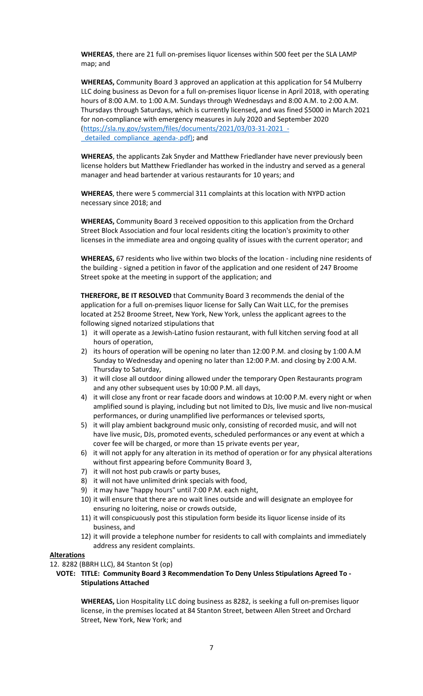**WHEREAS**, there are 21 full on-premises liquor licenses within 500 feet per the SLA LAMP map; and

**WHEREAS,** Community Board 3 approved an application at this application for 54 Mulberry LLC doing business as Devon for a full on-premises liquor license in April 2018, with operating hours of 8:00 A.M. to 1:00 A.M. Sundays through Wednesdays and 8:00 A.M. to 2:00 A.M. Thursdays through Saturdays, which is currently licensed**,** and was fined \$5000 in March 2021 for non-compliance with emergency measures in July 2020 and September 2020 [\(https://sla.ny.gov/system/files/documents/2021/03/03-31-2021\\_](https://sla.ny.gov/system/files/documents/2021/03/03-31-2021_-_detailed_compliance_agenda-.pdf) detailed compliance agenda-.pdf); and

**WHEREAS**, the applicants Zak Snyder and Matthew Friedlander have never previously been license holders but Matthew Friedlander has worked in the industry and served as a general manager and head bartender at various restaurants for 10 years; and

**WHEREAS**, there were 5 commercial 311 complaints at this location with NYPD action necessary since 2018; and

**WHEREAS,** Community Board 3 received opposition to this application from the Orchard Street Block Association and four local residents citing the location's proximity to other licenses in the immediate area and ongoing quality of issues with the current operator; and

**WHEREAS,** 67 residents who live within two blocks of the location - including nine residents of the building - signed a petition in favor of the application and one resident of 247 Broome Street spoke at the meeting in support of the application; and

**THEREFORE, BE IT RESOLVED** that Community Board 3 recommends the denial of the application for a full on-premises liquor license for Sally Can Wait LLC, for the premises located at 252 Broome Street, New York, New York, unless the applicant agrees to the following signed notarized stipulations that

- 1) it will operate as a Jewish-Latino fusion restaurant, with full kitchen serving food at all hours of operation,
- 2) its hours of operation will be opening no later than 12:00 P.M. and closing by 1:00 A.M Sunday to Wednesday and opening no later than 12:00 P.M. and closing by 2:00 A.M. Thursday to Saturday,
- 3) it will close all outdoor dining allowed under the temporary Open Restaurants program and any other subsequent uses by 10:00 P.M. all days,
- 4) it will close any front or rear facade doors and windows at 10:00 P.M. every night or when amplified sound is playing, including but not limited to DJs, live music and live non-musical performances, or during unamplified live performances or televised sports,
- 5) it will play ambient background music only, consisting of recorded music, and will not have live music, DJs, promoted events, scheduled performances or any event at which a cover fee will be charged, or more than 15 private events per year,
- 6) it will not apply for any alteration in its method of operation or for any physical alterations without first appearing before Community Board 3,
- 7) it will not host pub crawls or party buses,
- 8) it will not have unlimited drink specials with food,
- 9) it may have "happy hours" until 7:00 P.M. each night,
- 10) it will ensure that there are no wait lines outside and will designate an employee for ensuring no loitering, noise or crowds outside,
- 11) it will conspicuously post this stipulation form beside its liquor license inside of its business, and
- 12) it will provide a telephone number for residents to call with complaints and immediately address any resident complaints.

### **Alterations**

12. 8282 (BBRH LLC), 84 Stanton St (op)

# **VOTE: TITLE: Community Board 3 Recommendation To Deny Unless Stipulations Agreed To - Stipulations Attached**

**WHEREAS,** Lion Hospitality LLC doing business as 8282, is seeking a full on-premises liquor license, in the premises located at 84 Stanton Street, between Allen Street and Orchard Street, New York, New York; and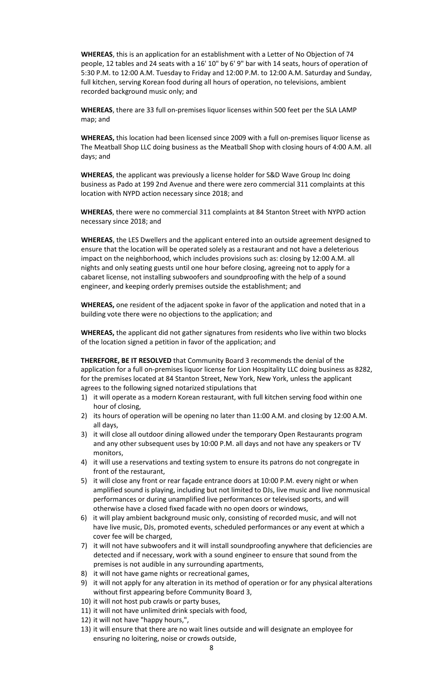**WHEREAS**, this is an application for an establishment with a Letter of No Objection of 74 people, 12 tables and 24 seats with a 16' 10" by 6' 9" bar with 14 seats, hours of operation of 5:30 P.M. to 12:00 A.M. Tuesday to Friday and 12:00 P.M. to 12:00 A.M. Saturday and Sunday, full kitchen, serving Korean food during all hours of operation, no televisions, ambient recorded background music only; and

**WHEREAS**, there are 33 full on-premises liquor licenses within 500 feet per the SLA LAMP map; and

**WHEREAS,** this location had been licensed since 2009 with a full on-premises liquor license as The Meatball Shop LLC doing business as the Meatball Shop with closing hours of 4:00 A.M. all days; and

**WHEREAS**, the applicant was previously a license holder for S&D Wave Group Inc doing business as Pado at 199 2nd Avenue and there were zero commercial 311 complaints at this location with NYPD action necessary since 2018; and

**WHEREAS**, there were no commercial 311 complaints at 84 Stanton Street with NYPD action necessary since 2018; and

**WHEREAS**, the LES Dwellers and the applicant entered into an outside agreement designed to ensure that the location will be operated solely as a restaurant and not have a deleterious impact on the neighborhood, which includes provisions such as: closing by 12:00 A.M. all nights and only seating guests until one hour before closing, agreeing not to apply for a cabaret license, not installing subwoofers and soundproofing with the help of a sound engineer, and keeping orderly premises outside the establishment; and

**WHEREAS,** one resident of the adjacent spoke in favor of the application and noted that in a building vote there were no objections to the application; and

**WHEREAS,** the applicant did not gather signatures from residents who live within two blocks of the location signed a petition in favor of the application; and

**THEREFORE, BE IT RESOLVED** that Community Board 3 recommends the denial of the application for a full on-premises liquor license for Lion Hospitality LLC doing business as 8282, for the premises located at 84 Stanton Street, New York, New York, unless the applicant agrees to the following signed notarized stipulations that

- 1) it will operate as a modern Korean restaurant, with full kitchen serving food within one hour of closing,
- 2) its hours of operation will be opening no later than 11:00 A.M. and closing by 12:00 A.M. all days,
- 3) it will close all outdoor dining allowed under the temporary Open Restaurants program and any other subsequent uses by 10:00 P.M. all days and not have any speakers or TV monitors,
- 4) it will use a reservations and texting system to ensure its patrons do not congregate in front of the restaurant,
- 5) it will close any front or rear façade entrance doors at 10:00 P.M. every night or when amplified sound is playing, including but not limited to DJs, live music and live nonmusical performances or during unamplified live performances or televised sports, and will otherwise have a closed fixed facade with no open doors or windows,
- 6) it will play ambient background music only, consisting of recorded music, and will not have live music, DJs, promoted events, scheduled performances or any event at which a cover fee will be charged,
- 7) it will not have subwoofers and it will install soundproofing anywhere that deficiencies are detected and if necessary, work with a sound engineer to ensure that sound from the premises is not audible in any surrounding apartments,
- 8) it will not have game nights or recreational games,
- 9) it will not apply for any alteration in its method of operation or for any physical alterations without first appearing before Community Board 3,
- 10) it will not host pub crawls or party buses,
- 11) it will not have unlimited drink specials with food,
- 12) it will not have "happy hours,",
- 13) it will ensure that there are no wait lines outside and will designate an employee for ensuring no loitering, noise or crowds outside,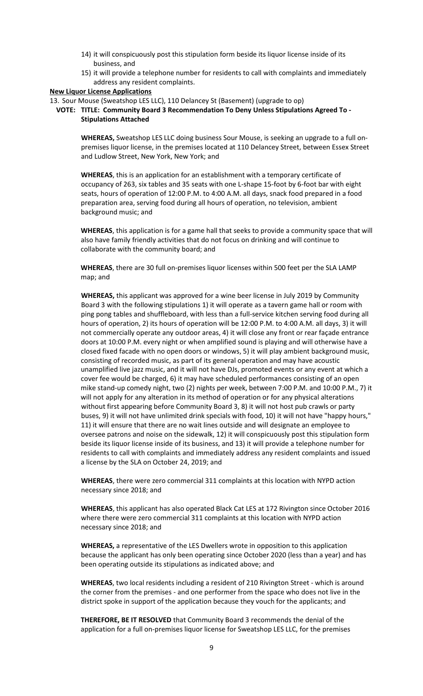- 14) it will conspicuously post this stipulation form beside its liquor license inside of its business, and
- 15) it will provide a telephone number for residents to call with complaints and immediately address any resident complaints.

#### **New Liquor License Applications**

13. Sour Mouse (Sweatshop LES LLC), 110 Delancey St (Basement) (upgrade to op)

**VOTE: TITLE: Community Board 3 Recommendation To Deny Unless Stipulations Agreed To - Stipulations Attached**

**WHEREAS,** Sweatshop LES LLC doing business Sour Mouse, is seeking an upgrade to a full onpremises liquor license, in the premises located at 110 Delancey Street, between Essex Street and Ludlow Street, New York, New York; and

**WHEREAS**, this is an application for an establishment with a temporary certificate of occupancy of 263, six tables and 35 seats with one L-shape 15-foot by 6-foot bar with eight seats, hours of operation of 12:00 P.M. to 4:00 A.M. all days, snack food prepared in a food preparation area, serving food during all hours of operation, no television, ambient background music; and

**WHEREAS**, this application is for a game hall that seeks to provide a community space that will also have family friendly activities that do not focus on drinking and will continue to collaborate with the community board; and

**WHEREAS**, there are 30 full on-premises liquor licenses within 500 feet per the SLA LAMP map; and

**WHEREAS,** this applicant was approved for a wine beer license in July 2019 by Community Board 3 with the following stipulations 1) it will operate as a tavern game hall or room with ping pong tables and shuffleboard, with less than a full-service kitchen serving food during all hours of operation, 2) its hours of operation will be 12:00 P.M. to 4:00 A.M. all days, 3) it will not commercially operate any outdoor areas, 4) it will close any front or rear façade entrance doors at 10:00 P.M. every night or when amplified sound is playing and will otherwise have a closed fixed facade with no open doors or windows, 5) it will play ambient background music, consisting of recorded music, as part of its general operation and may have acoustic unamplified live jazz music, and it will not have DJs, promoted events or any event at which a cover fee would be charged, 6) it may have scheduled performances consisting of an open mike stand-up comedy night, two (2) nights per week, between 7:00 P.M. and 10:00 P.M., 7) it will not apply for any alteration in its method of operation or for any physical alterations without first appearing before Community Board 3, 8) it will not host pub crawls or party buses, 9) it will not have unlimited drink specials with food, 10) it will not have "happy hours," 11) it will ensure that there are no wait lines outside and will designate an employee to oversee patrons and noise on the sidewalk, 12) it will conspicuously post this stipulation form beside its liquor license inside of its business, and 13) it will provide a telephone number for residents to call with complaints and immediately address any resident complaints and issued a license by the SLA on October 24, 2019; and

**WHEREAS**, there were zero commercial 311 complaints at this location with NYPD action necessary since 2018; and

**WHEREAS**, this applicant has also operated Black Cat LES at 172 Rivington since October 2016 where there were zero commercial 311 complaints at this location with NYPD action necessary since 2018; and

**WHEREAS,** a representative of the LES Dwellers wrote in opposition to this application because the applicant has only been operating since October 2020 (less than a year) and has been operating outside its stipulations as indicated above; and

**WHEREAS**, two local residents including a resident of 210 Rivington Street - which is around the corner from the premises - and one performer from the space who does not live in the district spoke in support of the application because they vouch for the applicants; and

**THEREFORE, BE IT RESOLVED** that Community Board 3 recommends the denial of the application for a full on-premises liquor license for Sweatshop LES LLC, for the premises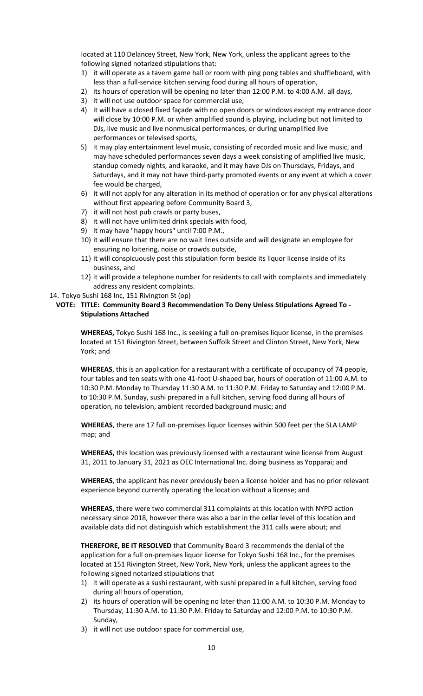located at 110 Delancey Street, New York, New York, unless the applicant agrees to the following signed notarized stipulations that:

- 1) it will operate as a tavern game hall or room with ping pong tables and shuffleboard, with less than a full-service kitchen serving food during all hours of operation,
- 2) its hours of operation will be opening no later than 12:00 P.M. to 4:00 A.M. all days,
- 3) it will not use outdoor space for commercial use,
- 4) it will have a closed fixed façade with no open doors or windows except my entrance door will close by 10:00 P.M. or when amplified sound is playing, including but not limited to DJs, live music and live nonmusical performances, or during unamplified live performances or televised sports,
- 5) it may play entertainment level music, consisting of recorded music and live music, and may have scheduled performances seven days a week consisting of amplified live music, standup comedy nights, and karaoke, and it may have DJs on Thursdays, Fridays, and Saturdays, and it may not have third-party promoted events or any event at which a cover fee would be charged,
- 6) it will not apply for any alteration in its method of operation or for any physical alterations without first appearing before Community Board 3,
- 7) it will not host pub crawls or party buses,
- 8) it will not have unlimited drink specials with food,
- 9) it may have "happy hours" until 7:00 P.M.,
- 10) it will ensure that there are no wait lines outside and will designate an employee for ensuring no loitering, noise or crowds outside,
- 11) it will conspicuously post this stipulation form beside its liquor license inside of its business, and
- 12) it will provide a telephone number for residents to call with complaints and immediately address any resident complaints.
- 14. Tokyo Sushi 168 Inc, 151 Rivington St (op)

### **VOTE: TITLE: Community Board 3 Recommendation To Deny Unless Stipulations Agreed To - Stipulations Attached**

**WHEREAS,** Tokyo Sushi 168 Inc., is seeking a full on-premises liquor license, in the premises located at 151 Rivington Street, between Suffolk Street and Clinton Street, New York, New York; and

**WHEREAS**, this is an application for a restaurant with a certificate of occupancy of 74 people, four tables and ten seats with one 41-foot U-shaped bar, hours of operation of 11:00 A.M. to 10:30 P.M. Monday to Thursday 11:30 A.M. to 11:30 P.M. Friday to Saturday and 12:00 P.M. to 10:30 P.M. Sunday, sushi prepared in a full kitchen, serving food during all hours of operation, no television, ambient recorded background music; and

**WHEREAS**, there are 17 full on-premises liquor licenses within 500 feet per the SLA LAMP map; and

**WHEREAS,** this location was previously licensed with a restaurant wine license from August 31, 2011 to January 31, 2021 as OEC International Inc. doing business as Yopparai; and

**WHEREAS**, the applicant has never previously been a license holder and has no prior relevant experience beyond currently operating the location without a license; and

**WHEREAS**, there were two commercial 311 complaints at this location with NYPD action necessary since 2018, however there was also a bar in the cellar level of this location and available data did not distinguish which establishment the 311 calls were about; and

**THEREFORE, BE IT RESOLVED** that Community Board 3 recommends the denial of the application for a full on-premises liquor license for Tokyo Sushi 168 Inc., for the premises located at 151 Rivington Street, New York, New York, unless the applicant agrees to the following signed notarized stipulations that

- 1) it will operate as a sushi restaurant, with sushi prepared in a full kitchen, serving food during all hours of operation,
- 2) its hours of operation will be opening no later than 11:00 A.M. to 10:30 P.M. Monday to Thursday, 11:30 A.M. to 11:30 P.M. Friday to Saturday and 12:00 P.M. to 10:30 P.M. Sunday,
- 3) it will not use outdoor space for commercial use,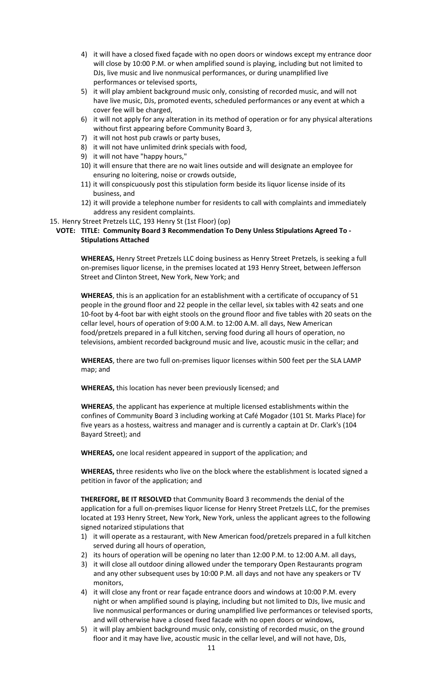- 4) it will have a closed fixed façade with no open doors or windows except my entrance door will close by 10:00 P.M. or when amplified sound is playing, including but not limited to DJs, live music and live nonmusical performances, or during unamplified live performances or televised sports,
- 5) it will play ambient background music only, consisting of recorded music, and will not have live music, DJs, promoted events, scheduled performances or any event at which a cover fee will be charged,
- 6) it will not apply for any alteration in its method of operation or for any physical alterations without first appearing before Community Board 3,
- 7) it will not host pub crawls or party buses,
- 8) it will not have unlimited drink specials with food,
- 9) it will not have "happy hours,"
- 10) it will ensure that there are no wait lines outside and will designate an employee for ensuring no loitering, noise or crowds outside,
- 11) it will conspicuously post this stipulation form beside its liquor license inside of its business, and
- 12) it will provide a telephone number for residents to call with complaints and immediately address any resident complaints.
- 15. Henry Street Pretzels LLC, 193 Henry St (1st Floor) (op)

# **VOTE: TITLE: Community Board 3 Recommendation To Deny Unless Stipulations Agreed To - Stipulations Attached**

**WHEREAS,** Henry Street Pretzels LLC doing business as Henry Street Pretzels, is seeking a full on-premises liquor license, in the premises located at 193 Henry Street, between Jefferson Street and Clinton Street, New York, New York; and

**WHEREAS**, this is an application for an establishment with a certificate of occupancy of 51 people in the ground floor and 22 people in the cellar level, six tables with 42 seats and one 10-foot by 4-foot bar with eight stools on the ground floor and five tables with 20 seats on the cellar level, hours of operation of 9:00 A.M. to 12:00 A.M. all days, New American food/pretzels prepared in a full kitchen, serving food during all hours of operation, no televisions, ambient recorded background music and live, acoustic music in the cellar; and

**WHEREAS**, there are two full on-premises liquor licenses within 500 feet per the SLA LAMP map; and

**WHEREAS,** this location has never been previously licensed; and

**WHEREAS**, the applicant has experience at multiple licensed establishments within the confines of Community Board 3 including working at Café Mogador (101 St. Marks Place) for five years as a hostess, waitress and manager and is currently a captain at Dr. Clark's (104 Bayard Street); and

**WHEREAS,** one local resident appeared in support of the application; and

**WHEREAS,** three residents who live on the block where the establishment is located signed a petition in favor of the application; and

**THEREFORE, BE IT RESOLVED** that Community Board 3 recommends the denial of the application for a full on-premises liquor license for Henry Street Pretzels LLC, for the premises located at 193 Henry Street, New York, New York, unless the applicant agrees to the following signed notarized stipulations that

- 1) it will operate as a restaurant, with New American food/pretzels prepared in a full kitchen served during all hours of operation,
- 2) its hours of operation will be opening no later than 12:00 P.M. to 12:00 A.M. all days,
- 3) it will close all outdoor dining allowed under the temporary Open Restaurants program and any other subsequent uses by 10:00 P.M. all days and not have any speakers or TV monitors,
- 4) it will close any front or rear façade entrance doors and windows at 10:00 P.M. every night or when amplified sound is playing, including but not limited to DJs, live music and live nonmusical performances or during unamplified live performances or televised sports, and will otherwise have a closed fixed facade with no open doors or windows,
- 5) it will play ambient background music only, consisting of recorded music, on the ground floor and it may have live, acoustic music in the cellar level, and will not have, DJs,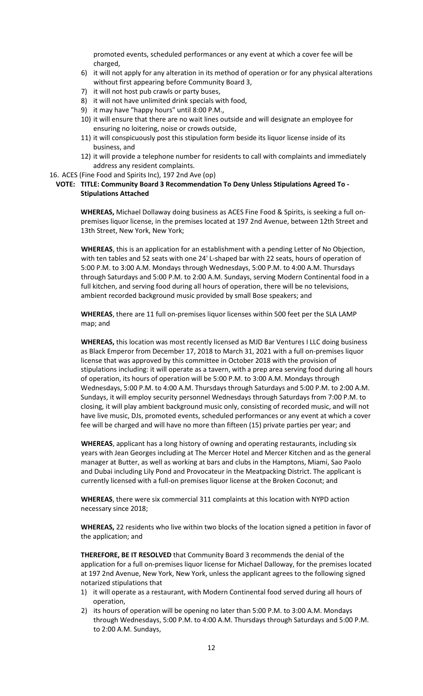promoted events, scheduled performances or any event at which a cover fee will be charged,

- 6) it will not apply for any alteration in its method of operation or for any physical alterations without first appearing before Community Board 3,
- 7) it will not host pub crawls or party buses,
- 8) it will not have unlimited drink specials with food,
- 9) it may have "happy hours" until 8:00 P.M.,
- 10) it will ensure that there are no wait lines outside and will designate an employee for ensuring no loitering, noise or crowds outside,
- 11) it will conspicuously post this stipulation form beside its liquor license inside of its business, and
- 12) it will provide a telephone number for residents to call with complaints and immediately address any resident complaints.
- 16. ACES (Fine Food and Spirits Inc), 197 2nd Ave (op)

### **VOTE: TITLE: Community Board 3 Recommendation To Deny Unless Stipulations Agreed To - Stipulations Attached**

**WHEREAS,** Michael Dollaway doing business as ACES Fine Food & Spirits, is seeking a full onpremises liquor license, in the premises located at 197 2nd Avenue, between 12th Street and 13th Street, New York, New York;

**WHEREAS**, this is an application for an establishment with a pending Letter of No Objection, with ten tables and 52 seats with one 24' L-shaped bar with 22 seats, hours of operation of 5:00 P.M. to 3:00 A.M. Mondays through Wednesdays, 5:00 P.M. to 4:00 A.M. Thursdays through Saturdays and 5:00 P.M. to 2:00 A.M. Sundays, serving Modern Continental food in a full kitchen, and serving food during all hours of operation, there will be no televisions, ambient recorded background music provided by small Bose speakers; and

**WHEREAS**, there are 11 full on-premises liquor licenses within 500 feet per the SLA LAMP map; and

**WHEREAS,** this location was most recently licensed as MJD Bar Ventures I LLC doing business as Black Emperor from December 17, 2018 to March 31, 2021 with a full on-premises liquor license that was approved by this committee in October 2018 with the provision of stipulations including: it will operate as a tavern, with a prep area serving food during all hours of operation, its hours of operation will be 5:00 P.M. to 3:00 A.M. Mondays through Wednesdays, 5:00 P.M. to 4:00 A.M. Thursdays through Saturdays and 5:00 P.M. to 2:00 A.M. Sundays, it will employ security personnel Wednesdays through Saturdays from 7:00 P.M. to closing, it will play ambient background music only, consisting of recorded music, and will not have live music, DJs, promoted events, scheduled performances or any event at which a cover fee will be charged and will have no more than fifteen (15) private parties per year; and

**WHEREAS**, applicant has a long history of owning and operating restaurants, including six years with Jean Georges including at The Mercer Hotel and Mercer Kitchen and as the general manager at Butter, as well as working at bars and clubs in the Hamptons, Miami, Sao Paolo and Dubai including Lily Pond and Provocateur in the Meatpacking District. The applicant is currently licensed with a full-on premises liquor license at the Broken Coconut; and

**WHEREAS**, there were six commercial 311 complaints at this location with NYPD action necessary since 2018;

**WHEREAS,** 22 residents who live within two blocks of the location signed a petition in favor of the application; and

**THEREFORE, BE IT RESOLVED** that Community Board 3 recommends the denial of the application for a full on-premises liquor license for Michael Dalloway, for the premises located at 197 2nd Avenue, New York, New York, unless the applicant agrees to the following signed notarized stipulations that

- 1) it will operate as a restaurant, with Modern Continental food served during all hours of operation,
- 2) its hours of operation will be opening no later than 5:00 P.M. to 3:00 A.M. Mondays through Wednesdays, 5:00 P.M. to 4:00 A.M. Thursdays through Saturdays and 5:00 P.M. to 2:00 A.M. Sundays,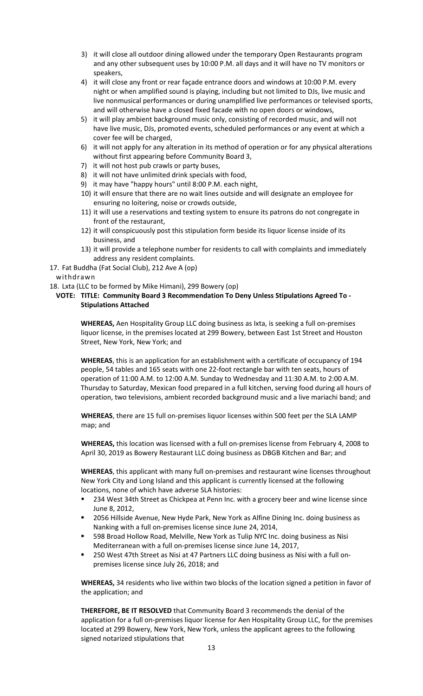- 3) it will close all outdoor dining allowed under the temporary Open Restaurants program and any other subsequent uses by 10:00 P.M. all days and it will have no TV monitors or speakers,
- 4) it will close any front or rear façade entrance doors and windows at 10:00 P.M. every night or when amplified sound is playing, including but not limited to DJs, live music and live nonmusical performances or during unamplified live performances or televised sports, and will otherwise have a closed fixed facade with no open doors or windows,
- 5) it will play ambient background music only, consisting of recorded music, and will not have live music, DJs, promoted events, scheduled performances or any event at which a cover fee will be charged,
- 6) it will not apply for any alteration in its method of operation or for any physical alterations without first appearing before Community Board 3,
- 7) it will not host pub crawls or party buses,
- 8) it will not have unlimited drink specials with food,
- 9) it may have "happy hours" until 8:00 P.M. each night,
- 10) it will ensure that there are no wait lines outside and will designate an employee for ensuring no loitering, noise or crowds outside,
- 11) it will use a reservations and texting system to ensure its patrons do not congregate in front of the restaurant,
- 12) it will conspicuously post this stipulation form beside its liquor license inside of its business, and
- 13) it will provide a telephone number for residents to call with complaints and immediately address any resident complaints.
- 17. Fat Buddha (Fat Social Club), 212 Ave A (op)

- 18. Lxta (LLC to be formed by Mike Himani), 299 Bowery (op)
- **VOTE: TITLE: Community Board 3 Recommendation To Deny Unless Stipulations Agreed To - Stipulations Attached**

**WHEREAS,** Aen Hospitality Group LLC doing business as Ixta, is seeking a full on-premises liquor license, in the premises located at 299 Bowery, between East 1st Street and Houston Street, New York, New York; and

**WHEREAS**, this is an application for an establishment with a certificate of occupancy of 194 people, 54 tables and 165 seats with one 22-foot rectangle bar with ten seats, hours of operation of 11:00 A.M. to 12:00 A.M. Sunday to Wednesday and 11:30 A.M. to 2:00 A.M. Thursday to Saturday, Mexican food prepared in a full kitchen, serving food during all hours of operation, two televisions, ambient recorded background music and a live mariachi band; and

**WHEREAS**, there are 15 full on-premises liquor licenses within 500 feet per the SLA LAMP map; and

**WHEREAS,** this location was licensed with a full on-premises license from February 4, 2008 to April 30, 2019 as Bowery Restaurant LLC doing business as DBGB Kitchen and Bar; and

**WHEREAS**, this applicant with many full on-premises and restaurant wine licenses throughout New York City and Long Island and this applicant is currently licensed at the following locations, none of which have adverse SLA histories:

- 234 West 34th Street as Chickpea at Penn Inc. with a grocery beer and wine license since June 8, 2012,
- 2056 Hillside Avenue, New Hyde Park, New York as Alfine Dining Inc. doing business as Nanking with a full on-premises license since June 24, 2014,
- 598 Broad Hollow Road, Melville, New York as Tulip NYC Inc. doing business as Nisi Mediterranean with a full on-premises license since June 14, 2017,
- 250 West 47th Street as Nisi at 47 Partners LLC doing business as Nisi with a full onpremises license since July 26, 2018; and

**WHEREAS,** 34 residents who live within two blocks of the location signed a petition in favor of the application; and

**THEREFORE, BE IT RESOLVED** that Community Board 3 recommends the denial of the application for a full on-premises liquor license for Aen Hospitality Group LLC, for the premises located at 299 Bowery, New York, New York, unless the applicant agrees to the following signed notarized stipulations that

withdrawn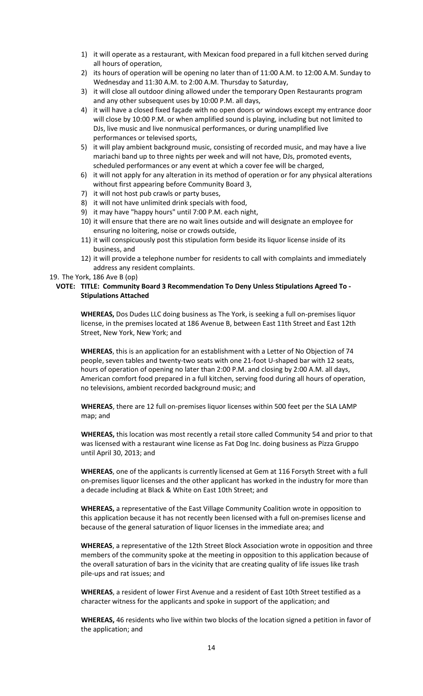- 1) it will operate as a restaurant, with Mexican food prepared in a full kitchen served during all hours of operation,
- 2) its hours of operation will be opening no later than of 11:00 A.M. to 12:00 A.M. Sunday to Wednesday and 11:30 A.M. to 2:00 A.M. Thursday to Saturday,
- 3) it will close all outdoor dining allowed under the temporary Open Restaurants program and any other subsequent uses by 10:00 P.M. all days,
- 4) it will have a closed fixed façade with no open doors or windows except my entrance door will close by 10:00 P.M. or when amplified sound is playing, including but not limited to DJs, live music and live nonmusical performances, or during unamplified live performances or televised sports,
- 5) it will play ambient background music, consisting of recorded music, and may have a live mariachi band up to three nights per week and will not have, DJs, promoted events, scheduled performances or any event at which a cover fee will be charged,
- 6) it will not apply for any alteration in its method of operation or for any physical alterations without first appearing before Community Board 3,
- 7) it will not host pub crawls or party buses,
- 8) it will not have unlimited drink specials with food,
- 9) it may have "happy hours" until 7:00 P.M. each night,
- 10) it will ensure that there are no wait lines outside and will designate an employee for ensuring no loitering, noise or crowds outside,
- 11) it will conspicuously post this stipulation form beside its liquor license inside of its business, and
- 12) it will provide a telephone number for residents to call with complaints and immediately address any resident complaints.

19. The York, 186 Ave B (op)

# **VOTE: TITLE: Community Board 3 Recommendation To Deny Unless Stipulations Agreed To - Stipulations Attached**

**WHEREAS,** Dos Dudes LLC doing business as The York, is seeking a full on-premises liquor license, in the premises located at 186 Avenue B, between East 11th Street and East 12th Street, New York, New York; and

**WHEREAS**, this is an application for an establishment with a Letter of No Objection of 74 people, seven tables and twenty-two seats with one 21-foot U-shaped bar with 12 seats, hours of operation of opening no later than 2:00 P.M. and closing by 2:00 A.M. all days, American comfort food prepared in a full kitchen, serving food during all hours of operation, no televisions, ambient recorded background music; and

**WHEREAS**, there are 12 full on-premises liquor licenses within 500 feet per the SLA LAMP map; and

**WHEREAS,** this location was most recently a retail store called Community 54 and prior to that was licensed with a restaurant wine license as Fat Dog Inc. doing business as Pizza Gruppo until April 30, 2013; and

**WHEREAS**, one of the applicants is currently licensed at Gem at 116 Forsyth Street with a full on-premises liquor licenses and the other applicant has worked in the industry for more than a decade including at Black & White on East 10th Street; and

**WHEREAS,** a representative of the East Village Community Coalition wrote in opposition to this application because it has not recently been licensed with a full on-premises license and because of the general saturation of liquor licenses in the immediate area; and

**WHEREAS**, a representative of the 12th Street Block Association wrote in opposition and three members of the community spoke at the meeting in opposition to this application because of the overall saturation of bars in the vicinity that are creating quality of life issues like trash pile-ups and rat issues; and

**WHEREAS**, a resident of lower First Avenue and a resident of East 10th Street testified as a character witness for the applicants and spoke in support of the application; and

**WHEREAS,** 46 residents who live within two blocks of the location signed a petition in favor of the application; and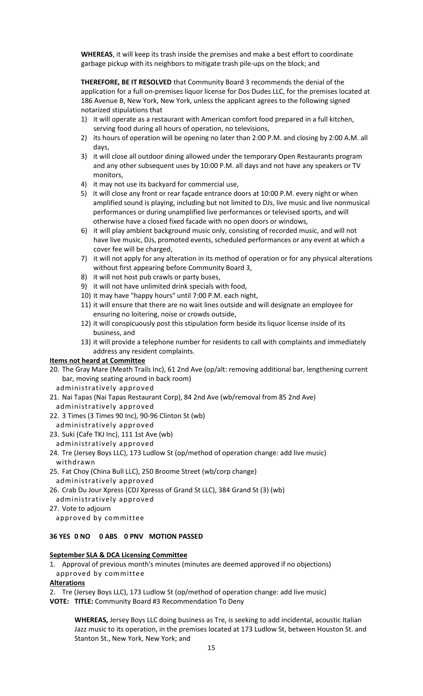**WHEREAS**, it will keep its trash inside the premises and make a best effort to coordinate garbage pickup with its neighbors to mitigate trash pile-ups on the block; and

**THEREFORE, BE IT RESOLVED** that Community Board 3 recommends the denial of the application for a full on-premises liquor license for Dos Dudes LLC, for the premises located at 186 Avenue B, New York, New York, unless the applicant agrees to the following signed notarized stipulations that

- 1) it will operate as a restaurant with American comfort food prepared in a full kitchen, serving food during all hours of operation, no televisions,
- 2) its hours of operation will be opening no later than 2:00 P.M. and closing by 2:00 A.M. all days,
- 3) it will close all outdoor dining allowed under the temporary Open Restaurants program and any other subsequent uses by 10:00 P.M. all days and not have any speakers or TV monitors,
- 4) it may not use its backyard for commercial use,
- 5) it will close any front or rear façade entrance doors at 10:00 P.M. every night or when amplified sound is playing, including but not limited to DJs, live music and live nonmusical performances or during unamplified live performances or televised sports, and will otherwise have a closed fixed facade with no open doors or windows,
- 6) it will play ambient background music only, consisting of recorded music, and will not have live music, DJs, promoted events, scheduled performances or any event at which a cover fee will be charged,
- 7) it will not apply for any alteration in its method of operation or for any physical alterations without first appearing before Community Board 3,
- 8) it will not host pub crawls or party buses,
- 9) it will not have unlimited drink specials with food,
- 10) it may have "happy hours" until 7:00 P.M. each night,
- 11) it will ensure that there are no wait lines outside and will designate an employee for ensuring no loitering, noise or crowds outside,
- 12) it will conspicuously post this stipulation form beside its liquor license inside of its business, and
- 13) it will provide a telephone number for residents to call with complaints and immediately address any resident complaints.

#### **Items not heard at Committee**

- 20. The Gray Mare (Meath Trails Inc), 61 2nd Ave (op/alt: removing additional bar, lengthening current bar, moving seating around in back room)
- administratively approved
- 21. Nai Tapas (Nai Tapas Restaurant Corp), 84 2nd Ave (wb/removal from 85 2nd Ave) administratively approved
- 22. 3 Times (3 Times 90 Inc), 90-96 Clinton St (wb)
	- administratively approved
- 23. Suki (Cafe TKJ Inc), 111 1st Ave (wb)
- administratively approved 24. Tre (Jersey Boys LLC), 173 Ludlow St (op/method of operation change: add live music) withdrawn
- 25. Fat Choy (China Bull LLC), 250 Broome Street (wb/corp change)
- administratively approved

26. Crab Du Jour Xpress (CDJ Xpresss of Grand St LLC), 384 Grand St (3) (wb)

administratively approved

27. Vote to adjourn

# approved by committee

### **36 YES 0 NO 0 ABS 0 PNV MOTION PASSED**

### **September SLA & DCA Licensing Committee**

1. Approval of previous month's minutes (minutes are deemed approved if no objections) approved by committee

### **Alterations**

2. Tre (Jersey Boys LLC), 173 Ludlow St (op/method of operation change: add live music)

**VOTE: TITLE:** Community Board #3 Recommendation To Deny

**WHEREAS,** Jersey Boys LLC doing business as Tre, is seeking to add incidental, acoustic Italian Jazz music to its operation, in the premises located at 173 Ludlow St, between Houston St. and Stanton St., New York, New York; and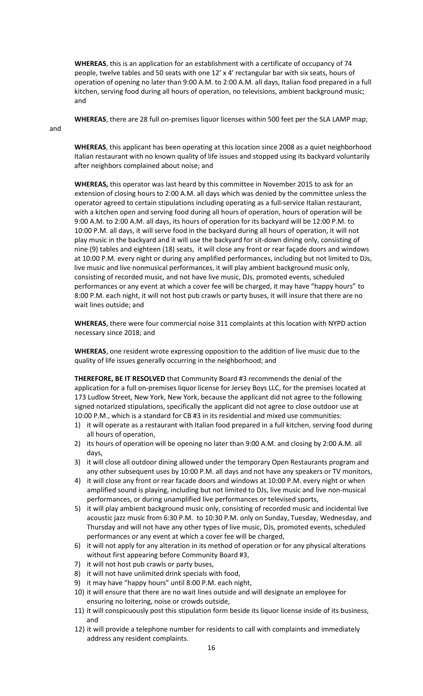**WHEREAS**, this is an application for an establishment with a certificate of occupancy of 74 people, twelve tables and 50 seats with one 12' x 4' rectangular bar with six seats, hours of operation of opening no later than 9:00 A.M. to 2:00 A.M. all days, Italian food prepared in a full kitchen, serving food during all hours of operation, no televisions, ambient background music; and

**WHEREAS**, there are 28 full on-premises liquor licenses within 500 feet per the SLA LAMP map;

and

**WHEREAS**, this applicant has been operating at this location since 2008 as a quiet neighborhood Italian restaurant with no known quality of life issues and stopped using its backyard voluntarily after neighbors complained about noise; and

**WHEREAS,** this operator was last heard by this committee in November 2015 to ask for an extension of closing hours to 2:00 A.M. all days which was denied by the committee unless the operator agreed to certain stipulations including operating as a full-service Italian restaurant, with a kitchen open and serving food during all hours of operation, hours of operation will be 9:00 A.M. to 2:00 A.M. all days, its hours of operation for its backyard will be 12:00 P.M. to 10:00 P.M. all days, it will serve food in the backyard during all hours of operation, it will not play music in the backyard and it will use the backyard for sit-down dining only, consisting of nine (9) tables and eighteen (18) seats, it will close any front or rear façade doors and windows at 10:00 P.M. every night or during any amplified performances, including but not limited to DJs, live music and live nonmusical performances, it will play ambient background music only, consisting of recorded music, and not have live music, DJs, promoted events, scheduled performances or any event at which a cover fee will be charged, it may have "happy hours" to 8:00 P.M. each night, it will not host pub crawls or party buses, it will insure that there are no wait lines outside; and

**WHEREAS**, there were four commercial noise 311 complaints at this location with NYPD action necessary since 2018; and

**WHEREAS**, one resident wrote expressing opposition to the addition of live music due to the quality of life issues generally occurring in the neighborhood; and

**THEREFORE, BE IT RESOLVED** that Community Board #3 recommends the denial of the application for a full on-premises liquor license for Jersey Boys LLC, for the premises located at 173 Ludlow Street, New York, New York, because the applicant did not agree to the following signed notarized stipulations, specifically the applicant did not agree to close outdoor use at 10:00 P.M., which is a standard for CB #3 in its residential and mixed use communities:

- 1) it will operate as a restaurant with Italian food prepared in a full kitchen, serving food during all hours of operation,
- 2) its hours of operation will be opening no later than 9:00 A.M. and closing by 2:00 A.M. all days,
- 3) it will close all outdoor dining allowed under the temporary Open Restaurants program and any other subsequent uses by 10:00 P.M. all days and not have any speakers or TV monitors,
- 4) it will close any front or rear facade doors and windows at 10:00 P.M. every night or when amplified sound is playing, including but not limited to DJs, live music and live non-musical performances, or during unamplified live performances or televised sports,
- 5) it will play ambient background music only, consisting of recorded music and incidental live acoustic jazz music from 6:30 P.M. to 10:30 P.M. only on Sunday, Tuesday, Wednesday, and Thursday and will not have any other types of live music, DJs, promoted events, scheduled performances or any event at which a cover fee will be charged,
- 6) it will not apply for any alteration in its method of operation or for any physical alterations without first appearing before Community Board #3,
- 7) it will not host pub crawls or party buses,
- 8) it will not have unlimited drink specials with food,
- 9) it may have "happy hours" until 8:00 P.M. each night,
- 10) it will ensure that there are no wait lines outside and will designate an employee for ensuring no loitering, noise or crowds outside,
- 11) it will conspicuously post this stipulation form beside its liquor license inside of its business, and
- 12) it will provide a telephone number for residents to call with complaints and immediately address any resident complaints.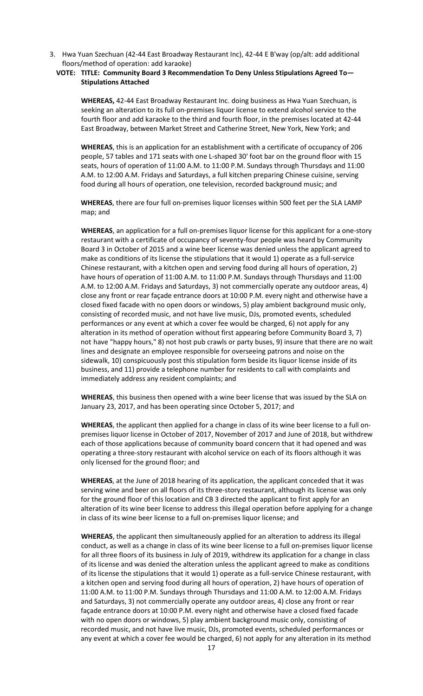3. Hwa Yuan Szechuan (42-44 East Broadway Restaurant Inc), 42-44 E B'way (op/alt: add additional floors/method of operation: add karaoke)

### **VOTE: TITLE: Community Board 3 Recommendation To Deny Unless Stipulations Agreed To— Stipulations Attached**

**WHEREAS,** 42-44 East Broadway Restaurant Inc. doing business as Hwa Yuan Szechuan, is seeking an alteration to its full on-premises liquor license to extend alcohol service to the fourth floor and add karaoke to the third and fourth floor, in the premises located at 42-44 East Broadway, between Market Street and Catherine Street, New York, New York; and

**WHEREAS**, this is an application for an establishment with a certificate of occupancy of 206 people, 57 tables and 171 seats with one L-shaped 30' foot bar on the ground floor with 15 seats, hours of operation of 11:00 A.M. to 11:00 P.M. Sundays through Thursdays and 11:00 A.M. to 12:00 A.M. Fridays and Saturdays, a full kitchen preparing Chinese cuisine, serving food during all hours of operation, one television, recorded background music; and

**WHEREAS**, there are four full on-premises liquor licenses within 500 feet per the SLA LAMP map; and

**WHEREAS**, an application for a full on-premises liquor license for this applicant for a one-story restaurant with a certificate of occupancy of seventy-four people was heard by Community Board 3 in October of 2015 and a wine beer license was denied unless the applicant agreed to make as conditions of its license the stipulations that it would 1) operate as a full-service Chinese restaurant, with a kitchen open and serving food during all hours of operation, 2) have hours of operation of 11:00 A.M. to 11:00 P.M. Sundays through Thursdays and 11:00 A.M. to 12:00 A.M. Fridays and Saturdays, 3) not commercially operate any outdoor areas, 4) close any front or rear façade entrance doors at 10:00 P.M. every night and otherwise have a closed fixed facade with no open doors or windows, 5) play ambient background music only, consisting of recorded music, and not have live music, DJs, promoted events, scheduled performances or any event at which a cover fee would be charged, 6) not apply for any alteration in its method of operation without first appearing before Community Board 3, 7) not have "happy hours," 8) not host pub crawls or party buses, 9) insure that there are no wait lines and designate an employee responsible for overseeing patrons and noise on the sidewalk, 10) conspicuously post this stipulation form beside its liquor license inside of its business, and 11) provide a telephone number for residents to call with complaints and immediately address any resident complaints; and

**WHEREAS**, this business then opened with a wine beer license that was issued by the SLA on January 23, 2017, and has been operating since October 5, 2017; and

**WHEREAS**, the applicant then applied for a change in class of its wine beer license to a full onpremises liquor license in October of 2017, November of 2017 and June of 2018, but withdrew each of those applications because of community board concern that it had opened and was operating a three-story restaurant with alcohol service on each of its floors although it was only licensed for the ground floor; and

**WHEREAS**, at the June of 2018 hearing of its application, the applicant conceded that it was serving wine and beer on all floors of its three-story restaurant, although its license was only for the ground floor of this location and CB 3 directed the applicant to first apply for an alteration of its wine beer license to address this illegal operation before applying for a change in class of its wine beer license to a full on-premises liquor license; and

**WHEREAS**, the applicant then simultaneously applied for an alteration to address its illegal conduct, as well as a change in class of its wine beer license to a full on-premises liquor license for all three floors of its business in July of 2019, withdrew its application for a change in class of its license and was denied the alteration unless the applicant agreed to make as conditions of its license the stipulations that it would 1) operate as a full-service Chinese restaurant, with a kitchen open and serving food during all hours of operation, 2) have hours of operation of 11:00 A.M. to 11:00 P.M. Sundays through Thursdays and 11:00 A.M. to 12:00 A.M. Fridays and Saturdays, 3) not commercially operate any outdoor areas, 4) close any front or rear façade entrance doors at 10:00 P.M. every night and otherwise have a closed fixed facade with no open doors or windows, 5) play ambient background music only, consisting of recorded music, and not have live music, DJs, promoted events, scheduled performances or any event at which a cover fee would be charged, 6) not apply for any alteration in its method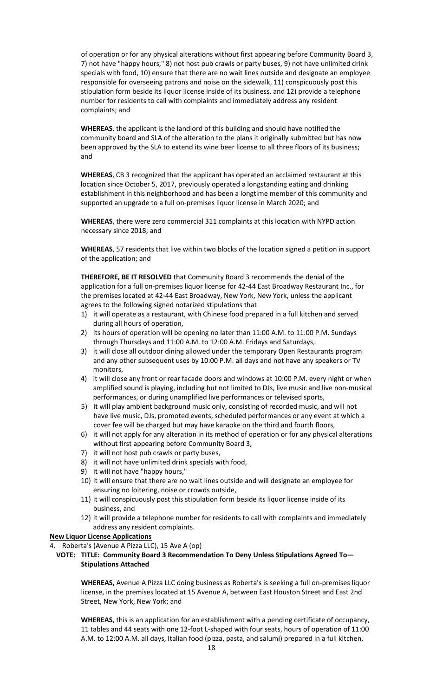of operation or for any physical alterations without first appearing before Community Board 3, 7) not have "happy hours," 8) not host pub crawls or party buses, 9) not have unlimited drink specials with food, 10) ensure that there are no wait lines outside and designate an employee responsible for overseeing patrons and noise on the sidewalk, 11) conspicuously post this stipulation form beside its liquor license inside of its business, and 12) provide a telephone number for residents to call with complaints and immediately address any resident complaints; and

**WHEREAS**, the applicant is the landlord of this building and should have notified the community board and SLA of the alteration to the plans it originally submitted but has now been approved by the SLA to extend its wine beer license to all three floors of its business; and

**WHEREAS**, CB 3 recognized that the applicant has operated an acclaimed restaurant at this location since October 5, 2017, previously operated a longstanding eating and drinking establishment in this neighborhood and has been a longtime member of this community and supported an upgrade to a full on-premises liquor license in March 2020; and

**WHEREAS**, there were zero commercial 311 complaints at this location with NYPD action necessary since 2018; and

**WHEREAS**, 57 residents that live within two blocks of the location signed a petition in support of the application; and

**THEREFORE, BE IT RESOLVED** that Community Board 3 recommends the denial of the application for a full on-premises liquor license for 42-44 East Broadway Restaurant Inc., for the premises located at 42-44 East Broadway, New York, New York, unless the applicant agrees to the following signed notarized stipulations that

- 1) it will operate as a restaurant, with Chinese food prepared in a full kitchen and served during all hours of operation,
- 2) its hours of operation will be opening no later than 11:00 A.M. to 11:00 P.M. Sundays through Thursdays and 11:00 A.M. to 12:00 A.M. Fridays and Saturdays,
- 3) it will close all outdoor dining allowed under the temporary Open Restaurants program and any other subsequent uses by 10:00 P.M. all days and not have any speakers or TV monitors,
- 4) it will close any front or rear facade doors and windows at 10:00 P.M. every night or when amplified sound is playing, including but not limited to DJs, live music and live non-musical performances, or during unamplified live performances or televised sports,
- 5) it will play ambient background music only, consisting of recorded music, and will not have live music, DJs, promoted events, scheduled performances or any event at which a cover fee will be charged but may have karaoke on the third and fourth floors,
- 6) it will not apply for any alteration in its method of operation or for any physical alterations without first appearing before Community Board 3,
- 7) it will not host pub crawls or party buses,
- 8) it will not have unlimited drink specials with food,
- 9) it will not have "happy hours,"
- 10) it will ensure that there are no wait lines outside and will designate an employee for ensuring no loitering, noise or crowds outside,
- 11) it will conspicuously post this stipulation form beside its liquor license inside of its business, and
- 12) it will provide a telephone number for residents to call with complaints and immediately address any resident complaints.

### **New Liquor License Applications**

- 4. Roberta's (Avenue A Pizza LLC), 15 Ave A (op)
	- **VOTE: TITLE: Community Board 3 Recommendation To Deny Unless Stipulations Agreed To— Stipulations Attached**

**WHEREAS,** Avenue A Pizza LLC doing business as Roberta's is seeking a full on-premises liquor license, in the premises located at 15 Avenue A, between East Houston Street and East 2nd Street, New York, New York; and

**WHEREAS**, this is an application for an establishment with a pending certificate of occupancy, 11 tables and 44 seats with one 12-foot L-shaped with four seats, hours of operation of 11:00 A.M. to 12:00 A.M. all days, Italian food (pizza, pasta, and salumi) prepared in a full kitchen,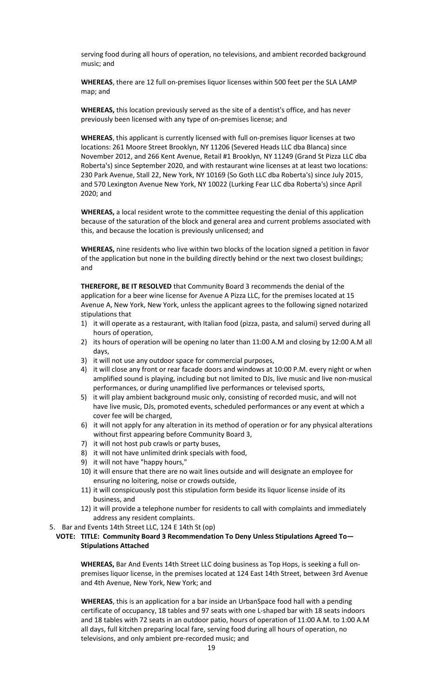serving food during all hours of operation, no televisions, and ambient recorded background music; and

**WHEREAS**, there are 12 full on-premises liquor licenses within 500 feet per the SLA LAMP map; and

**WHEREAS,** this location previously served as the site of a dentist's office, and has never previously been licensed with any type of on-premises license; and

**WHEREAS**, this applicant is currently licensed with full on-premises liquor licenses at two locations: 261 Moore Street Brooklyn, NY 11206 (Severed Heads LLC dba Blanca) since November 2012, and 266 Kent Avenue, Retail #1 Brooklyn, NY 11249 (Grand St Pizza LLC dba Roberta's) since September 2020, and with restaurant wine licenses at at least two locations: 230 Park Avenue, Stall 22, New York, NY 10169 (So Goth LLC dba Roberta's) since July 2015, and 570 Lexington Avenue New York, NY 10022 (Lurking Fear LLC dba Roberta's) since April 2020; and

**WHEREAS,** a local resident wrote to the committee requesting the denial of this application because of the saturation of the block and general area and current problems associated with this, and because the location is previously unlicensed; and

**WHEREAS,** nine residents who live within two blocks of the location signed a petition in favor of the application but none in the building directly behind or the next two closest buildings; and

**THEREFORE, BE IT RESOLVED** that Community Board 3 recommends the denial of the application for a beer wine license for Avenue A Pizza LLC, for the premises located at 15 Avenue A, New York, New York, unless the applicant agrees to the following signed notarized stipulations that

- 1) it will operate as a restaurant, with Italian food (pizza, pasta, and salumi) served during all hours of operation,
- 2) its hours of operation will be opening no later than 11:00 A.M and closing by 12:00 A.M all days,
- 3) it will not use any outdoor space for commercial purposes,
- 4) it will close any front or rear facade doors and windows at 10:00 P.M. every night or when amplified sound is playing, including but not limited to DJs, live music and live non-musical performances, or during unamplified live performances or televised sports,
- 5) it will play ambient background music only, consisting of recorded music, and will not have live music, DJs, promoted events, scheduled performances or any event at which a cover fee will be charged,
- 6) it will not apply for any alteration in its method of operation or for any physical alterations without first appearing before Community Board 3,
- 7) it will not host pub crawls or party buses,
- 8) it will not have unlimited drink specials with food,
- 9) it will not have "happy hours,"
- 10) it will ensure that there are no wait lines outside and will designate an employee for ensuring no loitering, noise or crowds outside,
- 11) it will conspicuously post this stipulation form beside its liquor license inside of its business, and
- 12) it will provide a telephone number for residents to call with complaints and immediately address any resident complaints.
- 5. Bar and Events 14th Street LLC, 124 E 14th St (op)

### **VOTE: TITLE: Community Board 3 Recommendation To Deny Unless Stipulations Agreed To— Stipulations Attached**

**WHEREAS,** Bar And Events 14th Street LLC doing business as Top Hops, is seeking a full onpremises liquor license, in the premises located at 124 East 14th Street, between 3rd Avenue and 4th Avenue, New York, New York; and

**WHEREAS**, this is an application for a bar inside an UrbanSpace food hall with a pending certificate of occupancy, 18 tables and 97 seats with one L-shaped bar with 18 seats indoors and 18 tables with 72 seats in an outdoor patio, hours of operation of 11:00 A.M. to 1:00 A.M all days, full kitchen preparing local fare, serving food during all hours of operation, no televisions, and only ambient pre-recorded music; and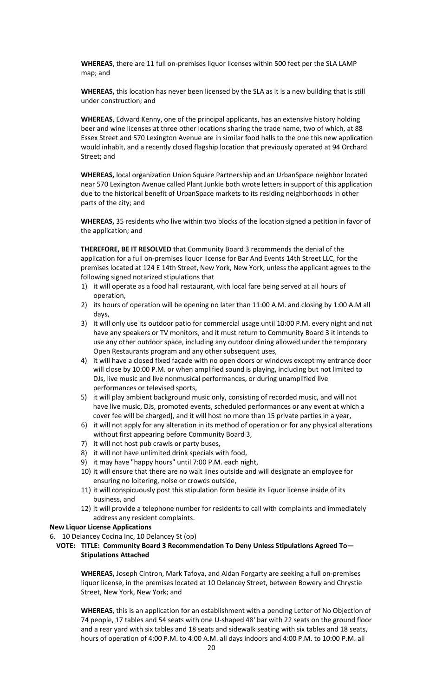**WHEREAS**, there are 11 full on-premises liquor licenses within 500 feet per the SLA LAMP map; and

**WHEREAS,** this location has never been licensed by the SLA as it is a new building that is still under construction; and

**WHEREAS**, Edward Kenny, one of the principal applicants, has an extensive history holding beer and wine licenses at three other locations sharing the trade name, two of which, at 88 Essex Street and 570 Lexington Avenue are in similar food halls to the one this new application would inhabit, and a recently closed flagship location that previously operated at 94 Orchard Street; and

**WHEREAS,** local organization Union Square Partnership and an UrbanSpace neighbor located near 570 Lexington Avenue called Plant Junkie both wrote letters in support of this application due to the historical benefit of UrbanSpace markets to its residing neighborhoods in other parts of the city; and

**WHEREAS,** 35 residents who live within two blocks of the location signed a petition in favor of the application; and

**THEREFORE, BE IT RESOLVED** that Community Board 3 recommends the denial of the application for a full on-premises liquor license for Bar And Events 14th Street LLC, for the premises located at 124 E 14th Street, New York, New York, unless the applicant agrees to the following signed notarized stipulations that

- 1) it will operate as a food hall restaurant, with local fare being served at all hours of operation,
- 2) its hours of operation will be opening no later than 11:00 A.M. and closing by 1:00 A.M all days,
- 3) it will only use its outdoor patio for commercial usage until 10:00 P.M. every night and not have any speakers or TV monitors, and it must return to Community Board 3 it intends to use any other outdoor space, including any outdoor dining allowed under the temporary Open Restaurants program and any other subsequent uses,
- 4) it will have a closed fixed façade with no open doors or windows except my entrance door will close by 10:00 P.M. or when amplified sound is playing, including but not limited to DJs, live music and live nonmusical performances, or during unamplified live performances or televised sports,
- 5) it will play ambient background music only, consisting of recorded music, and will not have live music, DJs, promoted events, scheduled performances or any event at which a cover fee will be charged], and it will host no more than 15 private parties in a year,
- 6) it will not apply for any alteration in its method of operation or for any physical alterations without first appearing before Community Board 3,
- 7) it will not host pub crawls or party buses,
- 8) it will not have unlimited drink specials with food,
- 9) it may have "happy hours" until 7:00 P.M. each night,
- 10) it will ensure that there are no wait lines outside and will designate an employee for ensuring no loitering, noise or crowds outside,
- 11) it will conspicuously post this stipulation form beside its liquor license inside of its business, and
- 12) it will provide a telephone number for residents to call with complaints and immediately address any resident complaints.

#### **New Liquor License Applications**

6. 10 Delancey Cocina Inc, 10 Delancey St (op)

**VOTE: TITLE: Community Board 3 Recommendation To Deny Unless Stipulations Agreed To— Stipulations Attached**

**WHEREAS,** Joseph Cintron, Mark Tafoya, and Aidan Forgarty are seeking a full on-premises liquor license, in the premises located at 10 Delancey Street, between Bowery and Chrystie Street, New York, New York; and

**WHEREAS**, this is an application for an establishment with a pending Letter of No Objection of 74 people, 17 tables and 54 seats with one U-shaped 48' bar with 22 seats on the ground floor and a rear yard with six tables and 18 seats and sidewalk seating with six tables and 18 seats, hours of operation of 4:00 P.M. to 4:00 A.M. all days indoors and 4:00 P.M. to 10:00 P.M. all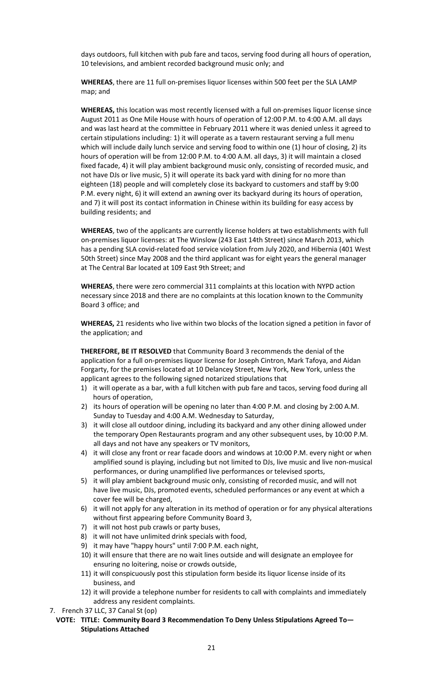days outdoors, full kitchen with pub fare and tacos, serving food during all hours of operation, 10 televisions, and ambient recorded background music only; and

**WHEREAS**, there are 11 full on-premises liquor licenses within 500 feet per the SLA LAMP map; and

**WHEREAS,** this location was most recently licensed with a full on-premises liquor license since August 2011 as One Mile House with hours of operation of 12:00 P.M. to 4:00 A.M. all days and was last heard at the committee in February 2011 where it was denied unless it agreed to certain stipulations including: 1) it will operate as a tavern restaurant serving a full menu which will include daily lunch service and serving food to within one (1) hour of closing, 2) its hours of operation will be from 12:00 P.M. to 4:00 A.M. all days, 3) it will maintain a closed fixed facade, 4) it will play ambient background music only, consisting of recorded music, and not have DJs or live music, 5) it will operate its back yard with dining for no more than eighteen (18) people and will completely close its backyard to customers and staff by 9:00 P.M. every night, 6) it will extend an awning over its backyard during its hours of operation, and 7) it will post its contact information in Chinese within its building for easy access by building residents; and

**WHEREAS**, two of the applicants are currently license holders at two establishments with full on-premises liquor licenses: at The Winslow (243 East 14th Street) since March 2013, which has a pending SLA covid-related food service violation from July 2020, and Hibernia (401 West 50th Street) since May 2008 and the third applicant was for eight years the general manager at The Central Bar located at 109 East 9th Street; and

**WHEREAS**, there were zero commercial 311 complaints at this location with NYPD action necessary since 2018 and there are no complaints at this location known to the Community Board 3 office; and

**WHEREAS,** 21 residents who live within two blocks of the location signed a petition in favor of the application; and

**THEREFORE, BE IT RESOLVED** that Community Board 3 recommends the denial of the application for a full on-premises liquor license for Joseph Cintron, Mark Tafoya, and Aidan Forgarty, for the premises located at 10 Delancey Street, New York, New York, unless the applicant agrees to the following signed notarized stipulations that

- 1) it will operate as a bar, with a full kitchen with pub fare and tacos, serving food during all hours of operation,
- 2) its hours of operation will be opening no later than 4:00 P.M. and closing by 2:00 A.M. Sunday to Tuesday and 4:00 A.M. Wednesday to Saturday,
- 3) it will close all outdoor dining, including its backyard and any other dining allowed under the temporary Open Restaurants program and any other subsequent uses, by 10:00 P.M. all days and not have any speakers or TV monitors,
- 4) it will close any front or rear facade doors and windows at 10:00 P.M. every night or when amplified sound is playing, including but not limited to DJs, live music and live non-musical performances, or during unamplified live performances or televised sports,
- 5) it will play ambient background music only, consisting of recorded music, and will not have live music, DJs, promoted events, scheduled performances or any event at which a cover fee will be charged,
- 6) it will not apply for any alteration in its method of operation or for any physical alterations without first appearing before Community Board 3,
- 7) it will not host pub crawls or party buses,
- 8) it will not have unlimited drink specials with food,
- 9) it may have "happy hours" until 7:00 P.M. each night,
- 10) it will ensure that there are no wait lines outside and will designate an employee for ensuring no loitering, noise or crowds outside,
- 11) it will conspicuously post this stipulation form beside its liquor license inside of its business, and
- 12) it will provide a telephone number for residents to call with complaints and immediately address any resident complaints.
- 7. French 37 LLC, 37 Canal St (op)
- **VOTE: TITLE: Community Board 3 Recommendation To Deny Unless Stipulations Agreed To— Stipulations Attached**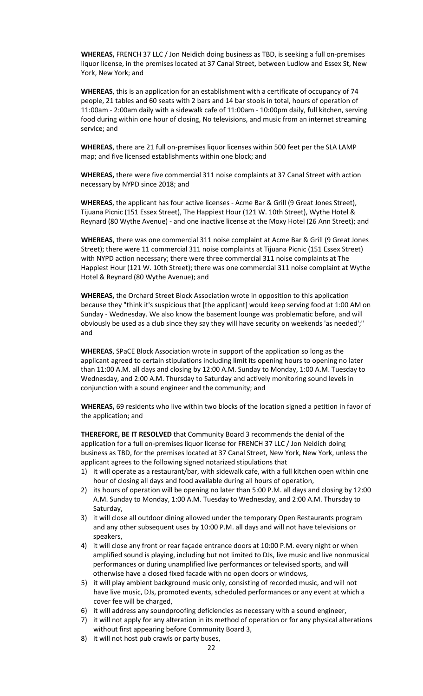**WHEREAS,** FRENCH 37 LLC / Jon Neidich doing business as TBD, is seeking a full on-premises liquor license, in the premises located at 37 Canal Street, between Ludlow and Essex St, New York, New York; and

**WHEREAS**, this is an application for an establishment with a certificate of occupancy of 74 people, 21 tables and 60 seats with 2 bars and 14 bar stools in total, hours of operation of 11:00am - 2:00am daily with a sidewalk cafe of 11:00am - 10:00pm daily, full kitchen, serving food during within one hour of closing, No televisions, and music from an internet streaming service; and

**WHEREAS**, there are 21 full on-premises liquor licenses within 500 feet per the SLA LAMP map; and five licensed establishments within one block; and

**WHEREAS,** there were five commercial 311 noise complaints at 37 Canal Street with action necessary by NYPD since 2018; and

**WHEREAS**, the applicant has four active licenses - Acme Bar & Grill (9 Great Jones Street), Tijuana Picnic (151 Essex Street), The Happiest Hour (121 W. 10th Street), Wythe Hotel & Reynard (80 Wythe Avenue) - and one inactive license at the Moxy Hotel (26 Ann Street); and

**WHEREAS**, there was one commercial 311 noise complaint at Acme Bar & Grill (9 Great Jones Street); there were 11 commercial 311 noise complaints at Tijuana Picnic (151 Essex Street) with NYPD action necessary; there were three commercial 311 noise complaints at The Happiest Hour (121 W. 10th Street); there was one commercial 311 noise complaint at Wythe Hotel & Reynard (80 Wythe Avenue); and

**WHEREAS,** the Orchard Street Block Association wrote in opposition to this application because they "think it's suspicious that [the applicant] would keep serving food at 1:00 AM on Sunday - Wednesday. We also know the basement lounge was problematic before, and will obviously be used as a club since they say they will have security on weekends 'as needed';" and

**WHEREAS**, SPaCE Block Association wrote in support of the application so long as the applicant agreed to certain stipulations including limit its opening hours to opening no later than 11:00 A.M. all days and closing by 12:00 A.M. Sunday to Monday, 1:00 A.M. Tuesday to Wednesday, and 2:00 A.M. Thursday to Saturday and actively monitoring sound levels in conjunction with a sound engineer and the community; and

**WHEREAS,** 69 residents who live within two blocks of the location signed a petition in favor of the application; and

**THEREFORE, BE IT RESOLVED** that Community Board 3 recommends the denial of the application for a full on-premises liquor license for FRENCH 37 LLC / Jon Neidich doing business as TBD, for the premises located at 37 Canal Street, New York, New York, unless the applicant agrees to the following signed notarized stipulations that

- 1) it will operate as a restaurant/bar, with sidewalk cafe, with a full kitchen open within one hour of closing all days and food available during all hours of operation,
- 2) its hours of operation will be opening no later than 5:00 P.M. all days and closing by 12:00 A.M. Sunday to Monday, 1:00 A.M. Tuesday to Wednesday, and 2:00 A.M. Thursday to Saturday,
- 3) it will close all outdoor dining allowed under the temporary Open Restaurants program and any other subsequent uses by 10:00 P.M. all days and will not have televisions or speakers,
- 4) it will close any front or rear façade entrance doors at 10:00 P.M. every night or when amplified sound is playing, including but not limited to DJs, live music and live nonmusical performances or during unamplified live performances or televised sports, and will otherwise have a closed fixed facade with no open doors or windows,
- 5) it will play ambient background music only, consisting of recorded music, and will not have live music, DJs, promoted events, scheduled performances or any event at which a cover fee will be charged,
- 6) it will address any soundproofing deficiencies as necessary with a sound engineer,
- 7) it will not apply for any alteration in its method of operation or for any physical alterations without first appearing before Community Board 3,
- 8) it will not host pub crawls or party buses,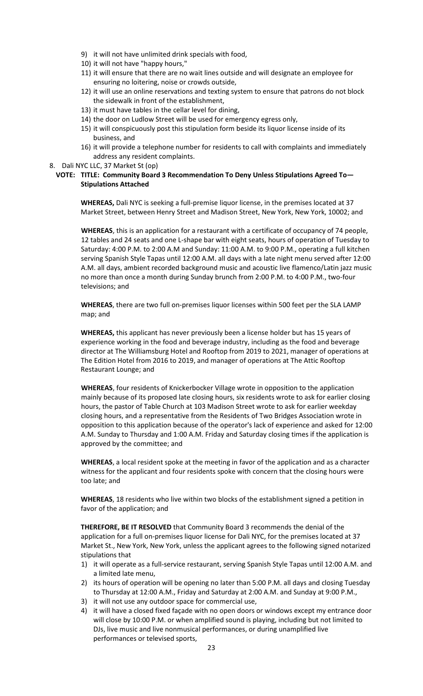- 9) it will not have unlimited drink specials with food,
- 10) it will not have "happy hours,"
- 11) it will ensure that there are no wait lines outside and will designate an employee for ensuring no loitering, noise or crowds outside,
- 12) it will use an online reservations and texting system to ensure that patrons do not block the sidewalk in front of the establishment,
- 13) it must have tables in the cellar level for dining,
- 14) the door on Ludlow Street will be used for emergency egress only,
- 15) it will conspicuously post this stipulation form beside its liquor license inside of its business, and
- 16) it will provide a telephone number for residents to call with complaints and immediately address any resident complaints.
- 8. Dali NYC LLC, 37 Market St (op)

### **VOTE: TITLE: Community Board 3 Recommendation To Deny Unless Stipulations Agreed To— Stipulations Attached**

**WHEREAS,** Dali NYC is seeking a full-premise liquor license, in the premises located at 37 Market Street, between Henry Street and Madison Street, New York, New York, 10002; and

**WHEREAS**, this is an application for a restaurant with a certificate of occupancy of 74 people, 12 tables and 24 seats and one L-shape bar with eight seats, hours of operation of Tuesday to Saturday: 4:00 P.M. to 2:00 A.M and Sunday: 11:00 A.M. to 9:00 P.M., operating a full kitchen serving Spanish Style Tapas until 12:00 A.M. all days with a late night menu served after 12:00 A.M. all days, ambient recorded background music and acoustic live flamenco/Latin jazz music no more than once a month during Sunday brunch from 2:00 P.M. to 4:00 P.M., two-four televisions; and

**WHEREAS**, there are two full on-premises liquor licenses within 500 feet per the SLA LAMP map; and

**WHEREAS,** this applicant has never previously been a license holder but has 15 years of experience working in the food and beverage industry, including as the food and beverage director at The Williamsburg Hotel and Rooftop from 2019 to 2021, manager of operations at The Edition Hotel from 2016 to 2019, and manager of operations at The Attic Rooftop Restaurant Lounge; and

**WHEREAS**, four residents of Knickerbocker Village wrote in opposition to the application mainly because of its proposed late closing hours, six residents wrote to ask for earlier closing hours, the pastor of Table Church at 103 Madison Street wrote to ask for earlier weekday closing hours, and a representative from the Residents of Two Bridges Association wrote in opposition to this application because of the operator's lack of experience and asked for 12:00 A.M. Sunday to Thursday and 1:00 A.M. Friday and Saturday closing times if the application is approved by the committee; and

**WHEREAS**, a local resident spoke at the meeting in favor of the application and as a character witness for the applicant and four residents spoke with concern that the closing hours were too late; and

**WHEREAS**, 18 residents who live within two blocks of the establishment signed a petition in favor of the application; and

**THEREFORE, BE IT RESOLVED** that Community Board 3 recommends the denial of the application for a full on-premises liquor license for Dali NYC, for the premises located at 37 Market St., New York, New York, unless the applicant agrees to the following signed notarized stipulations that

- 1) it will operate as a full-service restaurant, serving Spanish Style Tapas until 12:00 A.M. and a limited late menu,
- 2) its hours of operation will be opening no later than 5:00 P.M. all days and closing Tuesday to Thursday at 12:00 A.M., Friday and Saturday at 2:00 A.M. and Sunday at 9:00 P.M.,
- 3) it will not use any outdoor space for commercial use,
- 4) it will have a closed fixed façade with no open doors or windows except my entrance door will close by 10:00 P.M. or when amplified sound is playing, including but not limited to DJs, live music and live nonmusical performances, or during unamplified live performances or televised sports,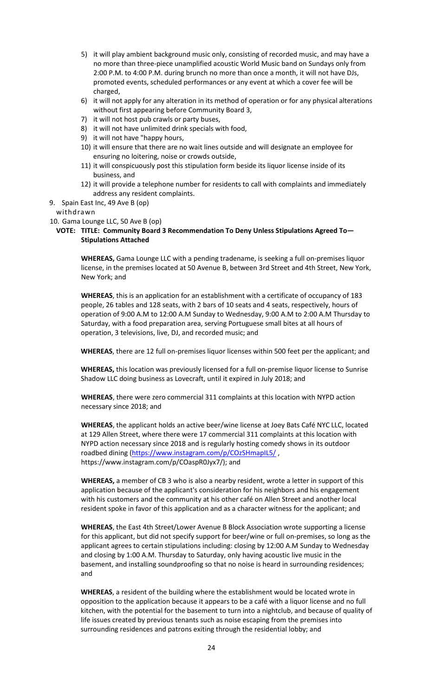- 5) it will play ambient background music only, consisting of recorded music, and may have a no more than three-piece unamplified acoustic World Music band on Sundays only from 2:00 P.M. to 4:00 P.M. during brunch no more than once a month, it will not have DJs, promoted events, scheduled performances or any event at which a cover fee will be charged,
- 6) it will not apply for any alteration in its method of operation or for any physical alterations without first appearing before Community Board 3,
- 7) it will not host pub crawls or party buses,
- 8) it will not have unlimited drink specials with food,
- 9) it will not have "happy hours,
- 10) it will ensure that there are no wait lines outside and will designate an employee for ensuring no loitering, noise or crowds outside,
- 11) it will conspicuously post this stipulation form beside its liquor license inside of its business, and
- 12) it will provide a telephone number for residents to call with complaints and immediately address any resident complaints.

#### 9. Spain East Inc, 49 Ave B (op)

withdrawn

10. Gama Lounge LLC, 50 Ave B (op)

### **VOTE: TITLE: Community Board 3 Recommendation To Deny Unless Stipulations Agreed To— Stipulations Attached**

**WHEREAS,** Gama Lounge LLC with a pending tradename, is seeking a full on-premises liquor license, in the premises located at 50 Avenue B, between 3rd Street and 4th Street, New York, New York; and

**WHEREAS**, this is an application for an establishment with a certificate of occupancy of 183 people, 26 tables and 128 seats, with 2 bars of 10 seats and 4 seats, respectively, hours of operation of 9:00 A.M to 12:00 A.M Sunday to Wednesday, 9:00 A.M to 2:00 A.M Thursday to Saturday, with a food preparation area, serving Portuguese small bites at all hours of operation, 3 televisions, live, DJ, and recorded music; and

**WHEREAS**, there are 12 full on-premises liquor licenses within 500 feet per the applicant; and

**WHEREAS,** this location was previously licensed for a full on-premise liquor license to Sunrise Shadow LLC doing business as Lovecraft, until it expired in July 2018; and

**WHEREAS**, there were zero commercial 311 complaints at this location with NYPD action necessary since 2018; and

**WHEREAS**, the applicant holds an active beer/wine license at Joey Bats Café NYC LLC, located at 129 Allen Street, where there were 17 commercial 311 complaints at this location with NYPD action necessary since 2018 and is regularly hosting comedy shows in its outdoor roadbed dining [\(https://www.instagram.com/p/COzSHmapIL5/](https://www.instagram.com/p/COzSHmapIL5/), https://www.instagram.com/p/COaspR0Jyx7/); and

**WHEREAS,** a member of CB 3 who is also a nearby resident, wrote a letter in support of this application because of the applicant's consideration for his neighbors and his engagement with his customers and the community at his other café on Allen Street and another local resident spoke in favor of this application and as a character witness for the applicant; and

**WHEREAS**, the East 4th Street/Lower Avenue B Block Association wrote supporting a license for this applicant, but did not specify support for beer/wine or full on-premises, so long as the applicant agrees to certain stipulations including: closing by 12:00 A.M Sunday to Wednesday and closing by 1:00 A.M. Thursday to Saturday, only having acoustic live music in the basement, and installing soundproofing so that no noise is heard in surrounding residences; and

**WHEREAS**, a resident of the building where the establishment would be located wrote in opposition to the application because it appears to be a café with a liquor license and no full kitchen, with the potential for the basement to turn into a nightclub, and because of quality of life issues created by previous tenants such as noise escaping from the premises into surrounding residences and patrons exiting through the residential lobby; and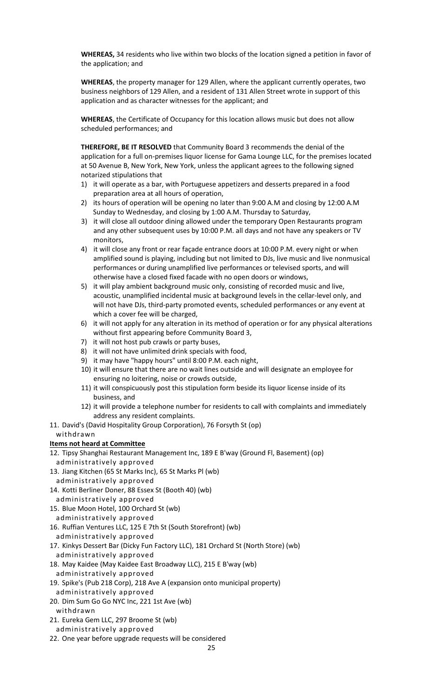**WHEREAS,** 34 residents who live within two blocks of the location signed a petition in favor of the application; and

**WHEREAS**, the property manager for 129 Allen, where the applicant currently operates, two business neighbors of 129 Allen, and a resident of 131 Allen Street wrote in support of this application and as character witnesses for the applicant; and

**WHEREAS**, the Certificate of Occupancy for this location allows music but does not allow scheduled performances; and

**THEREFORE, BE IT RESOLVED** that Community Board 3 recommends the denial of the application for a full on-premises liquor license for Gama Lounge LLC, for the premises located at 50 Avenue B, New York, New York, unless the applicant agrees to the following signed notarized stipulations that

- 1) it will operate as a bar, with Portuguese appetizers and desserts prepared in a food preparation area at all hours of operation,
- 2) its hours of operation will be opening no later than 9:00 A.M and closing by 12:00 A.M Sunday to Wednesday, and closing by 1:00 A.M. Thursday to Saturday,
- 3) it will close all outdoor dining allowed under the temporary Open Restaurants program and any other subsequent uses by 10:00 P.M. all days and not have any speakers or TV monitors,
- 4) it will close any front or rear façade entrance doors at 10:00 P.M. every night or when amplified sound is playing, including but not limited to DJs, live music and live nonmusical performances or during unamplified live performances or televised sports, and will otherwise have a closed fixed facade with no open doors or windows,
- 5) it will play ambient background music only, consisting of recorded music and live, acoustic, unamplified incidental music at background levels in the cellar-level only, and will not have DJs, third-party promoted events, scheduled performances or any event at which a cover fee will be charged,
- 6) it will not apply for any alteration in its method of operation or for any physical alterations without first appearing before Community Board 3,
- 7) it will not host pub crawls or party buses,
- 8) it will not have unlimited drink specials with food,
- 9) it may have "happy hours" until 8:00 P.M. each night,
- 10) it will ensure that there are no wait lines outside and will designate an employee for ensuring no loitering, noise or crowds outside,
- 11) it will conspicuously post this stipulation form beside its liquor license inside of its business, and
- 12) it will provide a telephone number for residents to call with complaints and immediately address any resident complaints.
- 11. David's (David Hospitality Group Corporation), 76 Forsyth St (op)

# withdrawn

# **Items not heard at Committee**

- 12. Tipsy Shanghai Restaurant Management Inc, 189 E B'way (Ground Fl, Basement) (op) administratively approved
- 13. Jiang Kitchen (65 St Marks Inc), 65 St Marks Pl (wb)
- administratively approved 14. Kotti Berliner Doner, 88 Essex St (Booth 40) (wb)
- administratively approved
- 15. Blue Moon Hotel, 100 Orchard St (wb) administratively approved
- 16. Ruffian Ventures LLC, 125 E 7th St (South Storefront) (wb)

administratively approved

- 17. Kinkys Dessert Bar (Dicky Fun Factory LLC), 181 Orchard St (North Store) (wb) administratively approved
- 18. May Kaidee (May Kaidee East Broadway LLC), 215 E B'way (wb) administratively approved
- 19. Spike's (Pub 218 Corp), 218 Ave A (expansion onto municipal property)
- administratively approved
- 20. Dim Sum Go Go NYC Inc, 221 1st Ave (wb) withdrawn
- 21. Eureka Gem LLC, 297 Broome St (wb)
- administratively approved
- 22. One year before upgrade requests will be considered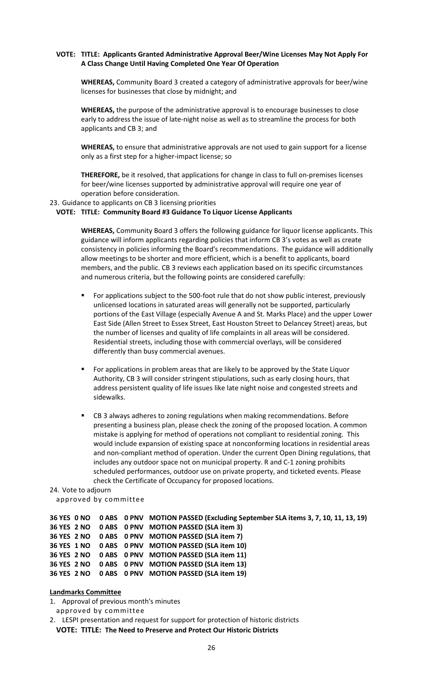### **VOTE: TITLE: Applicants Granted Administrative Approval Beer/Wine Licenses May Not Apply For A Class Change Until Having Completed One Year Of Operation**

**WHEREAS,** Community Board 3 created a category of administrative approvals for beer/wine licenses for businesses that close by midnight; and

**WHEREAS,** the purpose of the administrative approval is to encourage businesses to close early to address the issue of late-night noise as well as to streamline the process for both applicants and CB 3; and

**WHEREAS,** to ensure that administrative approvals are not used to gain support for a license only as a first step for a higher-impact license; so

**THEREFORE,** be it resolved, that applications for change in class to full on-premises licenses for beer/wine licenses supported by administrative approval will require one year of operation before consideration.

23. Guidance to applicants on CB 3 licensing priorities

### **VOTE: TITLE: Community Board #3 Guidance To Liquor License Applicants**

**WHEREAS,** Community Board 3 offers the following guidance for liquor license applicants. This guidance will inform applicants regarding policies that inform CB 3's votes as well as create consistency in policies informing the Board's recommendations. The guidance will additionally allow meetings to be shorter and more efficient, which is a benefit to applicants, board members, and the public. CB 3 reviews each application based on its specific circumstances and numerous criteria, but the following points are considered carefully:

- For applications subject to the 500-foot rule that do not show public interest, previously unlicensed locations in saturated areas will generally not be supported, particularly portions of the East Village (especially Avenue A and St. Marks Place) and the upper Lower East Side (Allen Street to Essex Street, East Houston Street to Delancey Street) areas, but the number of licenses and quality of life complaints in all areas will be considered. Residential streets, including those with commercial overlays, will be considered differently than busy commercial avenues.
- For applications in problem areas that are likely to be approved by the State Liquor Authority, CB 3 will consider stringent stipulations, such as early closing hours, that address persistent quality of life issues like late night noise and congested streets and sidewalks.
- CB 3 always adheres to zoning regulations when making recommendations. Before presenting a business plan, please check the zoning of the proposed location. A common mistake is applying for method of operations not compliant to residential zoning. This would include expansion of existing space at nonconforming locations in residential areas and non-compliant method of operation. Under the current Open Dining regulations, that includes any outdoor space not on municipal property. R and C-1 zoning prohibits scheduled performances, outdoor use on private property, and ticketed events. Please check the Certificate of Occupancy for proposed locations.

#### 24. Vote to adjourn

approved by committee

```
36 YES 0 NO 0 ABS 0 PNV MOTION PASSED (Excluding September SLA items 3, 7, 10, 11, 13, 19)
36 YES 2 NO 0 ABS 0 PNV MOTION PASSED (SLA item 3)
36 YES 2 NO 0 ABS 0 PNV MOTION PASSED (SLA item 7)
36 YES 1 NO 0 ABS 0 PNV MOTION PASSED (SLA item 10)
36 YES 2 NO 0 ABS 0 PNV MOTION PASSED (SLA item 11)
36 YES 2 NO 0 ABS 0 PNV MOTION PASSED (SLA item 13)
36 YES 2 NO 0 ABS 0 PNV MOTION PASSED (SLA item 19)
```
### **Landmarks Committee**

- 1. Approval of previous month's minutes
- approved by committee

2. LESPI presentation and request for support for protection of historic districts **VOTE: TITLE: The Need to Preserve and Protect Our Historic Districts**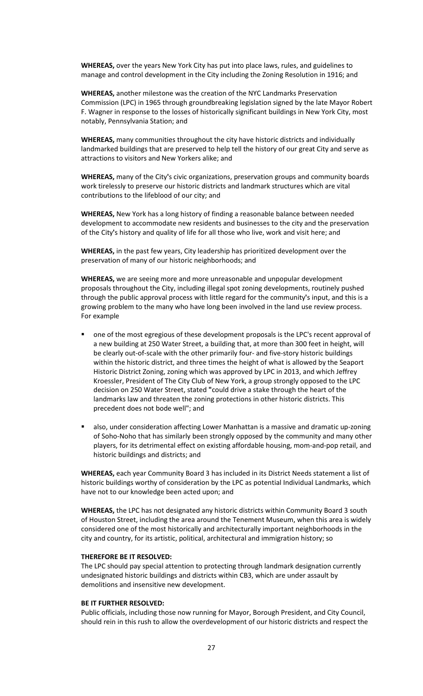**WHEREAS,** over the years New York City has put into place laws, rules, and guidelines to manage and control development in the City including the Zoning Resolution in 1916; and

**WHEREAS,** another milestone was the creation of the NYC Landmarks Preservation Commission (LPC) in 1965 through groundbreaking legislation signed by the late Mayor Robert F. Wagner in response to the losses of historically significant buildings in New York City, most notably, Pennsylvania Station; and

**WHEREAS,** many communities throughout the city have historic districts and individually landmarked buildings that are preserved to help tell the history of our great City and serve as attractions to visitors and New Yorkers alike; and

**WHEREAS,** many of the City **'**s civic organizations, preservation groups and community boards work tirelessly to preserve our historic districts and landmark structures which are vital contributions to the lifeblood of our city; and

**WHEREAS,** New York has a long history of finding a reasonable balance between needed development to accommodate new residents and businesses to the city and the preservation of the City **'**s history and quality of life for all those who live, work and visit here; and

**WHEREAS,** in the past few years, City leadership has prioritized development over the preservation of many of our historic neighborhoods; and

**WHEREAS,** we are seeing more and more unreasonable and unpopular development proposals throughout the City, including illegal spot zoning developments, routinely pushed through the public approval process with little regard for the community **'**s input, and this is a growing problem to the many who have long been involved in the land use review process. For example

- one of the most egregious of these development proposals is the LPC's recent approval of a new building at 250 Water Street, a building that, at more than 300 feet in height, will be clearly out-of-scale with the other primarily four- and five-story historic buildings within the historic district, and three times the height of what is allowed by the Seaport Historic District Zoning, zoning which was approved by LPC in 2013, and which Jeffrey Kroessler, President of The City Club of New York, a group strongly opposed to the LPC decision on 250 Water Street, stated **"**could drive a stake through the heart of the landmarks law and threaten the zoning protections in other historic districts. This precedent does not bode well"; and
- also, under consideration affecting Lower Manhattan is a massive and dramatic up-zoning of Soho-Noho that has similarly been strongly opposed by the community and many other players, for its detrimental effect on existing affordable housing, mom-and-pop retail, and historic buildings and districts; and

**WHEREAS,** each year Community Board 3 has included in its District Needs statement a list of historic buildings worthy of consideration by the LPC as potential Individual Landmarks, which have not to our knowledge been acted upon; and

**WHEREAS,** the LPC has not designated any historic districts within Community Board 3 south of Houston Street, including the area around the Tenement Museum, when this area is widely considered one of the most historically and architecturally important neighborhoods in the city and country, for its artistic, political, architectural and immigration history; so

#### **THEREFORE BE IT RESOLVED:**

The LPC should pay special attention to protecting through landmark designation currently undesignated historic buildings and districts within CB3, which are under assault by demolitions and insensitive new development.

#### **BE IT FURTHER RESOLVED:**

Public officials, including those now running for Mayor, Borough President, and City Council, should rein in this rush to allow the overdevelopment of our historic districts and respect the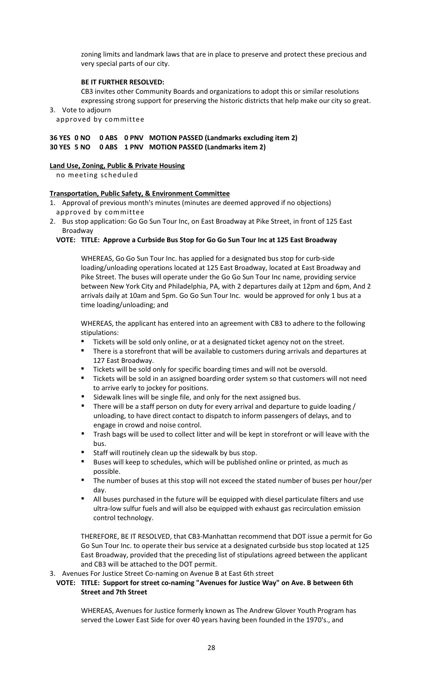zoning limits and landmark laws that are in place to preserve and protect these precious and very special parts of our city.

# **BE IT FURTHER RESOLVED:**

CB3 invites other Community Boards and organizations to adopt this or similar resolutions expressing strong support for preserving the historic districts that help make our city so great. 3. Vote to adjourn

approved by committee

# **36 YES 0 NO 0 ABS 0 PNV MOTION PASSED (Landmarks excluding item 2) 30 YES 5 NO 0 ABS 1 PNV MOTION PASSED (Landmarks item 2)**

### **Land Use, Zoning, Public & Private Housing**

no meeting scheduled

### **Transportation, Public Safety, & Environment Committee**

- 1. Approval of previous month's minutes (minutes are deemed approved if no objections) approved by committee
- 2. Bus stop application: Go Go Sun Tour Inc, on East Broadway at Pike Street, in front of 125 East Broadway

### **VOTE: TITLE: Approve a Curbside Bus Stop for Go Go Sun Tour Inc at 125 East Broadway**

WHEREAS, Go Go Sun Tour Inc. has applied for a designated bus stop for curb-side loading/unloading operations located at 125 East Broadway, located at East Broadway and Pike Street. The buses will operate under the Go Go Sun Tour Inc name, providing service between New York City and Philadelphia, PA, with 2 departures daily at 12pm and 6pm, And 2 arrivals daily at 10am and 5pm. Go Go Sun Tour Inc. would be approved for only 1 bus at a time loading/unloading; and

WHEREAS, the applicant has entered into an agreement with CB3 to adhere to the following stipulations:

- Tickets will be sold only online, or at a designated ticket agency not on the street.
- There is a storefront that will be available to customers during arrivals and departures at 127 East Broadway.
- Tickets will be sold only for specific boarding times and will not be oversold.
- Tickets will be sold in an assigned boarding order system so that customers will not need to arrive early to jockey for positions.
- Sidewalk lines will be single file, and only for the next assigned bus.
- There will be a staff person on duty for every arrival and departure to guide loading / unloading, to have direct contact to dispatch to inform passengers of delays, and to engage in crowd and noise control.
- Trash bags will be used to collect litter and will be kept in storefront or will leave with the bus.
- Staff will routinely clean up the sidewalk by bus stop.
- Buses will keep to schedules, which will be published online or printed, as much as possible.
- The number of buses at this stop will not exceed the stated number of buses per hour/per day.
- All buses purchased in the future will be equipped with diesel particulate filters and use ultra-low sulfur fuels and will also be equipped with exhaust gas recirculation emission control technology.

THEREFORE, BE IT RESOLVED, that CB3-Manhattan recommend that DOT issue a permit for Go Go Sun Tour Inc. to operate their bus service at a designated curbside bus stop located at 125 East Broadway, provided that the preceding list of stipulations agreed between the applicant and CB3 will be attached to the DOT permit.

3. Avenues For Justice Street Co-naming on Avenue B at East 6th street

### **VOTE: TITLE: Support for street co-naming "Avenues for Justice Way" on Ave. B between 6th Street and 7th Street**

WHEREAS, Avenues for Justice formerly known as The Andrew Glover Youth Program has served the Lower East Side for over 40 years having been founded in the 1970's., and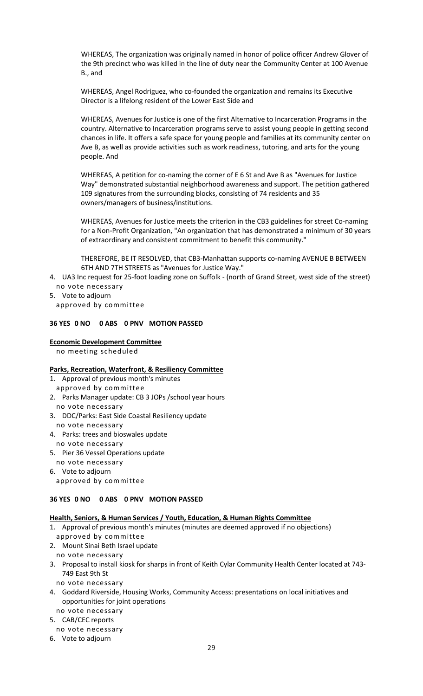WHEREAS, The organization was originally named in honor of police officer Andrew Glover of the 9th precinct who was killed in the line of duty near the Community Center at 100 Avenue B., and

WHEREAS, Angel Rodriguez, who co-founded the organization and remains its Executive Director is a lifelong resident of the Lower East Side and

WHEREAS, Avenues for Justice is one of the first Alternative to Incarceration Programs in the country. Alternative to Incarceration programs serve to assist young people in getting second chances in life. It offers a safe space for young people and families at its community center on Ave B, as well as provide activities such as work readiness, tutoring, and arts for the young people. And

WHEREAS, A petition for co-naming the corner of E 6 St and Ave B as "Avenues for Justice Way" demonstrated substantial neighborhood awareness and support. The petition gathered 109 signatures from the surrounding blocks, consisting of 74 residents and 35 owners/managers of business/institutions.

WHEREAS, Avenues for Justice meets the criterion in the CB3 guidelines for street Co-naming for a Non-Profit Organization, "An organization that has demonstrated a minimum of 30 years of extraordinary and consistent commitment to benefit this community."

THEREFORE, BE IT RESOLVED, that CB3-Manhattan supports co-naming AVENUE B BETWEEN 6TH AND 7TH STREETS as "Avenues for Justice Way."

- 4. UA3 Inc request for 25-foot loading zone on Suffolk (north of Grand Street, west side of the street) no vote necessary
- 5. Vote to adjourn

approved by committee

### **36 YES 0 NO 0 ABS 0 PNV MOTION PASSED**

### **Economic Development Committee**

no meeting scheduled

### **Parks, Recreation, Waterfront, & Resiliency Committee**

- 1. Approval of previous month's minutes
- approved by committee
- 2. Parks Manager update: CB 3 JOPs /school year hours no vote necessary
- 3. DDC/Parks: East Side Coastal Resiliency update
- no vote necessary 4. Parks: trees and bioswales update
- no vote necessary
- 5. Pier 36 Vessel Operations update
- no vote necessary 6. Vote to adjourn approved by committee

# **36 YES 0 NO 0 ABS 0 PNV MOTION PASSED**

# **Health, Seniors, & Human Services / Youth, Education, & Human Rights Committee**

- 1. Approval of previous month's minutes (minutes are deemed approved if no objections)
- approved by committee
- 2. Mount Sinai Beth Israel update
- no vote necessary
- 3. Proposal to install kiosk for sharps in front of Keith Cylar Community Health Center located at 743- 749 East 9th St
	- no vote necessary
- 4. Goddard Riverside, Housing Works, Community Access: presentations on local initiatives and opportunities for joint operations
- no vote necessary
- 5. CAB/CEC reports
- no vote necessary
- 6. Vote to adjourn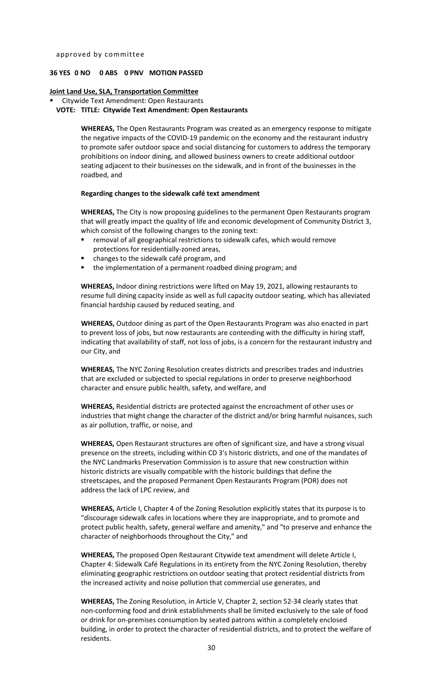### **36 YES 0 NO 0 ABS 0 PNV MOTION PASSED**

#### **Joint Land Use, SLA, Transportation Committee**

#### Citywide Text Amendment: Open Restaurants **VOTE: TITLE: Citywide Text Amendment: Open Restaurants**

**WHEREAS,** The Open Restaurants Program was created as an emergency response to mitigate the negative impacts of the COVID-19 pandemic on the economy and the restaurant industry to promote safer outdoor space and social distancing for customers to address the temporary prohibitions on indoor dining, and allowed business owners to create additional outdoor seating adjacent to their businesses on the sidewalk, and in front of the businesses in the roadbed, and

#### **Regarding changes to the sidewalk café text amendment**

**WHEREAS,** The City is now proposing guidelines to the permanent Open Restaurants program that will greatly impact the quality of life and economic development of Community District 3, which consist of the following changes to the zoning text:

- removal of all geographical restrictions to sidewalk cafes, which would remove protections for residentially-zoned areas,
- changes to the sidewalk café program, and
- the implementation of a permanent roadbed dining program; and

**WHEREAS,** Indoor dining restrictions were lifted on May 19, 2021, allowing restaurants to resume full dining capacity inside as well as full capacity outdoor seating, which has alleviated financial hardship caused by reduced seating, and

**WHEREAS,** Outdoor dining as part of the Open Restaurants Program was also enacted in part to prevent loss of jobs, but now restaurants are contending with the difficulty in hiring staff, indicating that availability of staff, not loss of jobs, is a concern for the restaurant industry and our City, and

**WHEREAS,** The NYC Zoning Resolution creates districts and prescribes trades and industries that are excluded or subjected to special regulations in order to preserve neighborhood character and ensure public health, safety, and welfare, and

**WHEREAS,** Residential districts are protected against the encroachment of other uses or industries that might change the character of the district and/or bring harmful nuisances, such as air pollution, traffic, or noise, and

**WHEREAS,** Open Restaurant structures are often of significant size, and have a strong visual presence on the streets, including within CD 3's historic districts, and one of the mandates of the NYC Landmarks Preservation Commission is to assure that new construction within historic districts are visually compatible with the historic buildings that define the streetscapes, and the proposed Permanent Open Restaurants Program (POR) does not address the lack of LPC review, and

**WHEREAS,** Article I, Chapter 4 of the Zoning Resolution explicitly states that its purpose is to "discourage sidewalk cafes in locations where they are inappropriate, and to promote and protect public health, safety, general welfare and amenity," and "to preserve and enhance the character of neighborhoods throughout the City," and

**WHEREAS,** The proposed Open Restaurant Citywide text amendment will delete Article I, Chapter 4: Sidewalk Café Regulations in its entirety from the NYC Zoning Resolution, thereby eliminating geographic restrictions on outdoor seating that protect residential districts from the increased activity and noise pollution that commercial use generates, and

**WHEREAS,** The Zoning Resolution, in Article V, Chapter 2, section 52-34 clearly states that non-conforming food and drink establishments shall be limited exclusively to the sale of food or drink for on-premises consumption by seated patrons within a completely enclosed building, in order to protect the character of residential districts, and to protect the welfare of residents.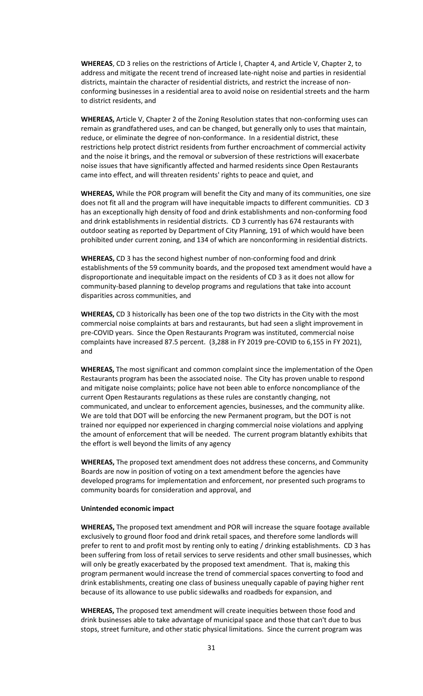**WHEREAS**, CD 3 relies on the restrictions of Article I, Chapter 4, and Article V, Chapter 2, to address and mitigate the recent trend of increased late-night noise and parties in residential districts, maintain the character of residential districts, and restrict the increase of nonconforming businesses in a residential area to avoid noise on residential streets and the harm to district residents, and

**WHEREAS,** Article V, Chapter 2 of the Zoning Resolution states that non-conforming uses can remain as grandfathered uses, and can be changed, but generally only to uses that maintain, reduce, or eliminate the degree of non-conformance. In a residential district, these restrictions help protect district residents from further encroachment of commercial activity and the noise it brings, and the removal or subversion of these restrictions will exacerbate noise issues that have significantly affected and harmed residents since Open Restaurants came into effect, and will threaten residents' rights to peace and quiet, and

**WHEREAS,** While the POR program will benefit the City and many of its communities, one size does not fit all and the program will have inequitable impacts to different communities. CD 3 has an exceptionally high density of food and drink establishments and non-conforming food and drink establishments in residential districts. CD 3 currently has 674 restaurants with outdoor seating as reported by Department of City Planning, 191 of which would have been prohibited under current zoning, and 134 of which are nonconforming in residential districts.

**WHEREAS,** CD 3 has the second highest number of non-conforming food and drink establishments of the 59 community boards, and the proposed text amendment would have a disproportionate and inequitable impact on the residents of CD 3 as it does not allow for community-based planning to develop programs and regulations that take into account disparities across communities, and

**WHEREAS,** CD 3 historically has been one of the top two districts in the City with the most commercial noise complaints at bars and restaurants, but had seen a slight improvement in pre-COVID years. Since the Open Restaurants Program was instituted, commercial noise complaints have increased 87.5 percent. (3,288 in FY 2019 pre-COVID to 6,155 in FY 2021), and

**WHEREAS,** The most significant and common complaint since the implementation of the Open Restaurants program has been the associated noise. The City has proven unable to respond and mitigate noise complaints; police have not been able to enforce noncompliance of the current Open Restaurants regulations as these rules are constantly changing, not communicated, and unclear to enforcement agencies, businesses, and the community alike. We are told that DOT will be enforcing the new Permanent program, but the DOT is not trained nor equipped nor experienced in charging commercial noise violations and applying the amount of enforcement that will be needed. The current program blatantly exhibits that the effort is well beyond the limits of any agency

**WHEREAS,** The proposed text amendment does not address these concerns, and Community Boards are now in position of voting on a text amendment before the agencies have developed programs for implementation and enforcement, nor presented such programs to community boards for consideration and approval, and

#### **Unintended economic impact**

**WHEREAS,** The proposed text amendment and POR will increase the square footage available exclusively to ground floor food and drink retail spaces, and therefore some landlords will prefer to rent to and profit most by renting only to eating / drinking establishments. CD 3 has been suffering from loss of retail services to serve residents and other small businesses, which will only be greatly exacerbated by the proposed text amendment. That is, making this program permanent would increase the trend of commercial spaces converting to food and drink establishments, creating one class of business unequally capable of paying higher rent because of its allowance to use public sidewalks and roadbeds for expansion, and

**WHEREAS,** The proposed text amendment will create inequities between those food and drink businesses able to take advantage of municipal space and those that can't due to bus stops, street furniture, and other static physical limitations. Since the current program was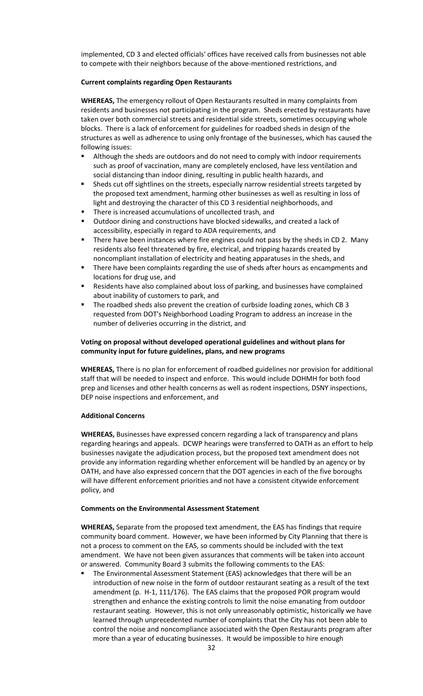implemented, CD 3 and elected officials' offices have received calls from businesses not able to compete with their neighbors because of the above-mentioned restrictions, and

### **Current complaints regarding Open Restaurants**

**WHEREAS,** The emergency rollout of Open Restaurants resulted in many complaints from residents and businesses not participating in the program. Sheds erected by restaurants have taken over both commercial streets and residential side streets, sometimes occupying whole blocks. There is a lack of enforcement for guidelines for roadbed sheds in design of the structures as well as adherence to using only frontage of the businesses, which has caused the following issues:

- Although the sheds are outdoors and do not need to comply with indoor requirements such as proof of vaccination, many are completely enclosed, have less ventilation and social distancing than indoor dining, resulting in public health hazards, and
- Sheds cut off sightlines on the streets, especially narrow residential streets targeted by the proposed text amendment, harming other businesses as well as resulting in loss of light and destroying the character of this CD 3 residential neighborhoods, and
- There is increased accumulations of uncollected trash, and
- Outdoor dining and constructions have blocked sidewalks, and created a lack of accessibility, especially in regard to ADA requirements, and
- **There have been instances where fire engines could not pass by the sheds in CD 2. Many** residents also feel threatened by fire, electrical, and tripping hazards created by noncompliant installation of electricity and heating apparatuses in the sheds, and
- **There have been complaints regarding the use of sheds after hours as encampments and** locations for drug use, and
- Residents have also complained about loss of parking, and businesses have complained about inability of customers to park, and
- The roadbed sheds also prevent the creation of curbside loading zones, which CB 3 requested from DOT's Neighborhood Loading Program to address an increase in the number of deliveries occurring in the district, and

# **Voting on proposal without developed operational guidelines and without plans for community input for future guidelines, plans, and new programs**

**WHEREAS,** There is no plan for enforcement of roadbed guidelines nor provision for additional staff that will be needed to inspect and enforce. This would include DOHMH for both food prep and licenses and other health concerns as well as rodent inspections, DSNY inspections, DEP noise inspections and enforcement, and

### **Additional Concerns**

**WHEREAS,** Businesses have expressed concern regarding a lack of transparency and plans regarding hearings and appeals. DCWP hearings were transferred to OATH as an effort to help businesses navigate the adjudication process, but the proposed text amendment does not provide any information regarding whether enforcement will be handled by an agency or by OATH, and have also expressed concern that the DOT agencies in each of the five boroughs will have different enforcement priorities and not have a consistent citywide enforcement policy, and

### **Comments on the Environmental Assessment Statement**

**WHEREAS,** Separate from the proposed text amendment, the EAS has findings that require community board comment. However, we have been informed by City Planning that there is not a process to comment on the EAS, so comments should be included with the text amendment. We have not been given assurances that comments will be taken into account or answered. Community Board 3 submits the following comments to the EAS:

 The Environmental Assessment Statement (EAS) acknowledges that there will be an introduction of new noise in the form of outdoor restaurant seating as a result of the text amendment (p. H-1, 111/176). The EAS claims that the proposed POR program would strengthen and enhance the existing controls to limit the noise emanating from outdoor restaurant seating. However, this is not only unreasonably optimistic, historically we have learned through unprecedented number of complaints that the City has not been able to control the noise and noncompliance associated with the Open Restaurants program after more than a year of educating businesses. It would be impossible to hire enough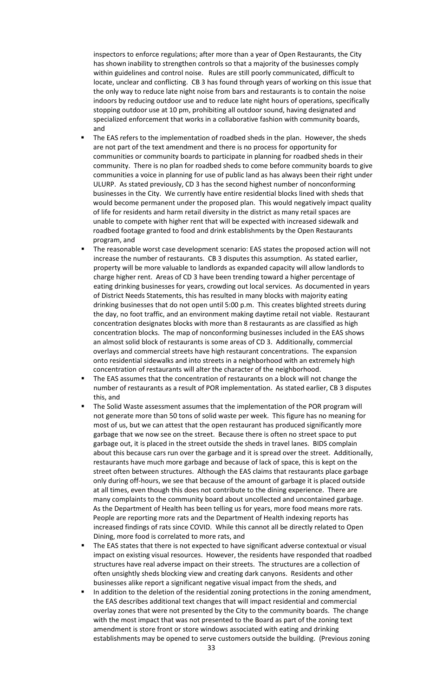inspectors to enforce regulations; after more than a year of Open Restaurants, the City has shown inability to strengthen controls so that a majority of the businesses comply within guidelines and control noise. Rules are still poorly communicated, difficult to locate, unclear and conflicting. CB 3 has found through years of working on this issue that the only way to reduce late night noise from bars and restaurants is to contain the noise indoors by reducing outdoor use and to reduce late night hours of operations, specifically stopping outdoor use at 10 pm, prohibiting all outdoor sound, having designated and specialized enforcement that works in a collaborative fashion with community boards, and

- The EAS refers to the implementation of roadbed sheds in the plan. However, the sheds are not part of the text amendment and there is no process for opportunity for communities or community boards to participate in planning for roadbed sheds in their community. There is no plan for roadbed sheds to come before community boards to give communities a voice in planning for use of public land as has always been their right under ULURP. As stated previously, CD 3 has the second highest number of nonconforming businesses in the City. We currently have entire residential blocks lined with sheds that would become permanent under the proposed plan. This would negatively impact quality of life for residents and harm retail diversity in the district as many retail spaces are unable to compete with higher rent that will be expected with increased sidewalk and roadbed footage granted to food and drink establishments by the Open Restaurants program, and
- The reasonable worst case development scenario: EAS states the proposed action will not increase the number of restaurants. CB 3 disputes this assumption. As stated earlier, property will be more valuable to landlords as expanded capacity will allow landlords to charge higher rent. Areas of CD 3 have been trending toward a higher percentage of eating drinking businesses for years, crowding out local services. As documented in years of District Needs Statements, this has resulted in many blocks with majority eating drinking businesses that do not open until 5:00 p.m. This creates blighted streets during the day, no foot traffic, and an environment making daytime retail not viable. Restaurant concentration designates blocks with more than 8 restaurants as are classified as high concentration blocks. The map of nonconforming businesses included in the EAS shows an almost solid block of restaurants is some areas of CD 3. Additionally, commercial overlays and commercial streets have high restaurant concentrations. The expansion onto residential sidewalks and into streets in a neighborhood with an extremely high concentration of restaurants will alter the character of the neighborhood.
- The EAS assumes that the concentration of restaurants on a block will not change the number of restaurants as a result of POR implementation. As stated earlier, CB 3 disputes this, and
- The Solid Waste assessment assumes that the implementation of the POR program will not generate more than 50 tons of solid waste per week. This figure has no meaning for most of us, but we can attest that the open restaurant has produced significantly more garbage that we now see on the street. Because there is often no street space to put garbage out, it is placed in the street outside the sheds in travel lanes. BIDS complain about this because cars run over the garbage and it is spread over the street. Additionally, restaurants have much more garbage and because of lack of space, this is kept on the street often between structures. Although the EAS claims that restaurants place garbage only during off-hours, we see that because of the amount of garbage it is placed outside at all times, even though this does not contribute to the dining experience. There are many complaints to the community board about uncollected and uncontained garbage. As the Department of Health has been telling us for years, more food means more rats. People are reporting more rats and the Department of Health indexing reports has increased findings of rats since COVID. While this cannot all be directly related to Open Dining, more food is correlated to more rats, and
- The EAS states that there is not expected to have significant adverse contextual or visual impact on existing visual resources. However, the residents have responded that roadbed structures have real adverse impact on their streets. The structures are a collection of often unsightly sheds blocking view and creating dark canyons. Residents and other businesses alike report a significant negative visual impact from the sheds, and
- In addition to the deletion of the residential zoning protections in the zoning amendment, the EAS describes additional text changes that will impact residential and commercial overlay zones that were not presented by the City to the community boards. The change with the most impact that was not presented to the Board as part of the zoning text amendment is store front or store windows associated with eating and drinking establishments may be opened to serve customers outside the building. (Previous zoning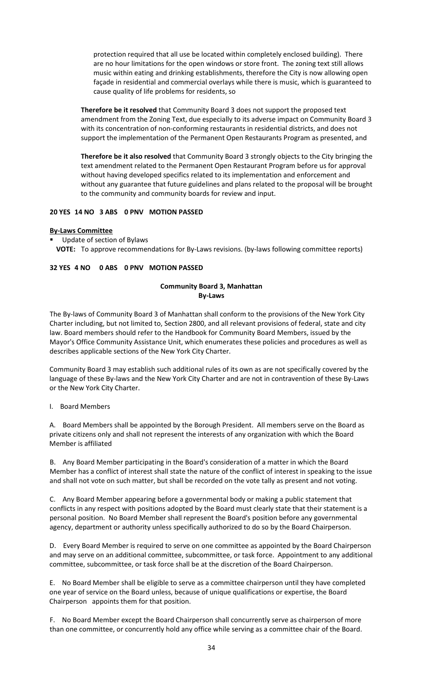protection required that all use be located within completely enclosed building). There are no hour limitations for the open windows or store front. The zoning text still allows music within eating and drinking establishments, therefore the City is now allowing open façade in residential and commercial overlays while there is music, which is guaranteed to cause quality of life problems for residents, so

**Therefore be it resolved** that Community Board 3 does not support the proposed text amendment from the Zoning Text, due especially to its adverse impact on Community Board 3 with its concentration of non-conforming restaurants in residential districts, and does not support the implementation of the Permanent Open Restaurants Program as presented, and

**Therefore be it also resolved** that Community Board 3 strongly objects to the City bringing the text amendment related to the Permanent Open Restaurant Program before us for approval without having developed specifics related to its implementation and enforcement and without any guarantee that future guidelines and plans related to the proposal will be brought to the community and community boards for review and input.

### **20 YES 14 NO 3 ABS 0 PNV MOTION PASSED**

### **By-Laws Committee**

 Update of section of Bylaws **VOTE:** To approve recommendations for By-Laws revisions. (by-laws following committee reports)

### **32 YES 4 NO 0 ABS 0 PNV MOTION PASSED**

### **Community Board 3, Manhattan By-Laws**

The By-laws of Community Board 3 of Manhattan shall conform to the provisions of the New York City Charter including, but not limited to, Section 2800, and all relevant provisions of federal, state and city law. Board members should refer to the Handbook for Community Board Members, issued by the Mayor's Office Community Assistance Unit, which enumerates these policies and procedures as well as describes applicable sections of the New York City Charter.

Community Board 3 may establish such additional rules of its own as are not specifically covered by the language of these By-laws and the New York City Charter and are not in contravention of these By-Laws or the New York City Charter.

I. Board Members

A. Board Members shall be appointed by the Borough President. All members serve on the Board as private citizens only and shall not represent the interests of any organization with which the Board Member is affiliated

B. Any Board Member participating in the Board's consideration of a matter in which the Board Member has a conflict of interest shall state the nature of the conflict of interest in speaking to the issue and shall not vote on such matter, but shall be recorded on the vote tally as present and not voting.

C. Any Board Member appearing before a governmental body or making a public statement that conflicts in any respect with positions adopted by the Board must clearly state that their statement is a personal position. No Board Member shall represent the Board's position before any governmental agency, department or authority unless specifically authorized to do so by the Board Chairperson.

D. Every Board Member is required to serve on one committee as appointed by the Board Chairperson and may serve on an additional committee, subcommittee, or task force. Appointment to any additional committee, subcommittee, or task force shall be at the discretion of the Board Chairperson.

E. No Board Member shall be eligible to serve as a committee chairperson until they have completed one year of service on the Board unless, because of unique qualifications or expertise, the Board Chairperson appoints them for that position.

F. No Board Member except the Board Chairperson shall concurrently serve as chairperson of more than one committee, or concurrently hold any office while serving as a committee chair of the Board.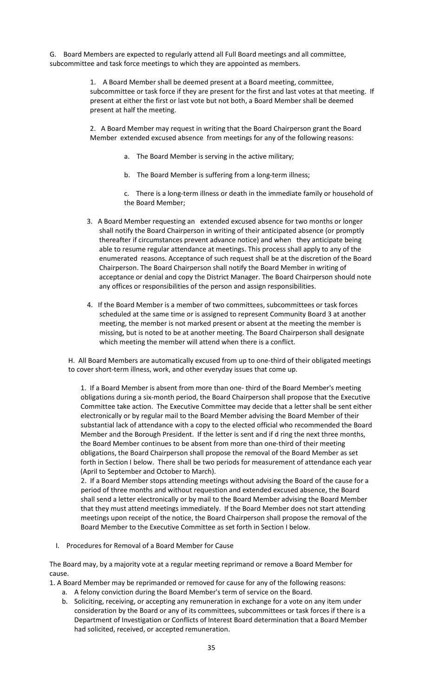G. Board Members are expected to regularly attend all Full Board meetings and all committee, subcommittee and task force meetings to which they are appointed as members.

> 1. A Board Member shall be deemed present at a Board meeting, committee, subcommittee or task force if they are present for the first and last votes at that meeting. If present at either the first or last vote but not both, a Board Member shall be deemed present at half the meeting.

2. A Board Member may request in writing that the Board Chairperson grant the Board Member extended excused absence from meetings for any of the following reasons:

- a. The Board Member is serving in the active military;
- b. The Board Member is suffering from a long-term illness;

c. There is a long-term illness or death in the immediate family or household of the Board Member;

- 3. A Board Member requesting an extended excused absence for two months or longer shall notify the Board Chairperson in writing of their anticipated absence (or promptly thereafter if circumstances prevent advance notice) and when they anticipate being able to resume regular attendance at meetings. This process shall apply to any of the enumerated reasons. Acceptance of such request shall be at the discretion of the Board Chairperson. The Board Chairperson shall notify the Board Member in writing of acceptance or denial and copy the District Manager. The Board Chairperson should note any offices or responsibilities of the person and assign responsibilities.
- 4. If the Board Member is a member of two committees, subcommittees or task forces scheduled at the same time or is assigned to represent Community Board 3 at another meeting, the member is not marked present or absent at the meeting the member is missing, but is noted to be at another meeting. The Board Chairperson shall designate which meeting the member will attend when there is a conflict.

H. All Board Members are automatically excused from up to one-third of their obligated meetings to cover short-term illness, work, and other everyday issues that come up.

1. If a Board Member is absent from more than one- third of the Board Member's meeting obligations during a six-month period, the Board Chairperson shall propose that the Executive Committee take action. The Executive Committee may decide that a letter shall be sent either electronically or by regular mail to the Board Member advising the Board Member of their substantial lack of attendance with a copy to the elected official who recommended the Board Member and the Borough President. If the letter is sent and if d ring the next three months, the Board Member continues to be absent from more than one-third of their meeting obligations, the Board Chairperson shall propose the removal of the Board Member as set forth in Section I below. There shall be two periods for measurement of attendance each year (April to September and October to March).

2. If a Board Member stops attending meetings without advising the Board of the cause for a period of three months and without requestion and extended excused absence, the Board shall send a letter electronically or by mail to the Board Member advising the Board Member that they must attend meetings immediately. If the Board Member does not start attending meetings upon receipt of the notice, the Board Chairperson shall propose the removal of the Board Member to the Executive Committee as set forth in Section I below.

I. Procedures for Removal of a Board Member for Cause

The Board may, by a majority vote at a regular meeting reprimand or remove a Board Member for cause.

1. A Board Member may be reprimanded or removed for cause for any of the following reasons:

- a. A felony conviction during the Board Member's term of service on the Board.
- b. Soliciting, receiving, or accepting any remuneration in exchange for a vote on any item under consideration by the Board or any of its committees, subcommittees or task forces if there is a Department of Investigation or Conflicts of Interest Board determination that a Board Member had solicited, received, or accepted remuneration.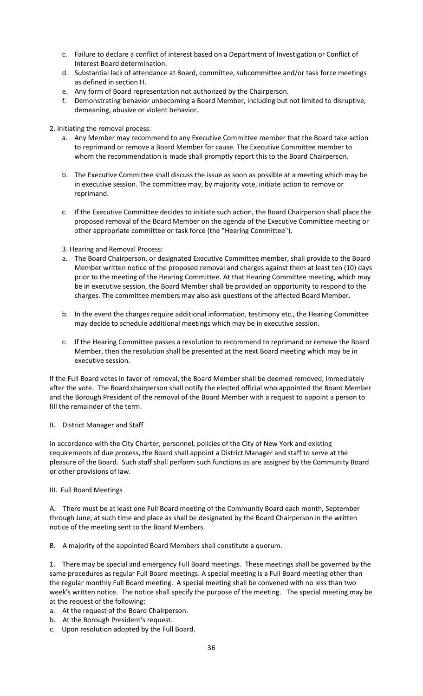- c. Failure to declare a conflict of interest based on a Department of Investigation or Conflict of Interest Board determination.
- d. Substantial lack of attendance at Board, committee, subcommittee and/or task force meetings as defined in section H.
- e. Any form of Board representation not authorized by the Chairperson.
- f. Demonstrating behavior unbecoming a Board Member, including but not limited to disruptive, demeaning, abusive or violent behavior.
- 2. Initiating the removal process:
	- a. Any Member may recommend to any Executive Committee member that the Board take action to reprimand or remove a Board Member for cause. The Executive Committee member to whom the recommendation is made shall promptly report this to the Board Chairperson.
	- b. The Executive Committee shall discuss the issue as soon as possible at a meeting which may be in executive session. The committee may, by majority vote, initiate action to remove or reprimand.
	- c. If the Executive Committee decides to initiate such action, the Board Chairperson shall place the proposed removal of the Board Member on the agenda of the Executive Committee meeting or other appropriate committee or task force (the "Hearing Committee").
	- 3. Hearing and Removal Process:
	- a. The Board Chairperson, or designated Executive Committee member, shall provide to the Board Member written notice of the proposed removal and charges against them at least ten (10) days prior to the meeting of the Hearing Committee. At that Hearing Committee meeting, which may be in executive session, the Board Member shall be provided an opportunity to respond to the charges. The committee members may also ask questions of the affected Board Member.
	- b. In the event the charges require additional information, testimony etc., the Hearing Committee may decide to schedule additional meetings which may be in executive session.
	- c. If the Hearing Committee passes a resolution to recommend to reprimand or remove the Board Member, then the resolution shall be presented at the next Board meeting which may be in executive session.

If the Full Board votes in favor of removal, the Board Member shall be deemed removed, immediately after the vote. The Board chairperson shall notify the elected official who appointed the Board Member and the Borough President of the removal of the Board Member with a request to appoint a person to fill the remainder of the term.

### II. District Manager and Staff

In accordance with the City Charter, personnel, policies of the City of New York and existing requirements of due process, the Board shall appoint a District Manager and staff to serve at the pleasure of the Board. Such staff shall perform such functions as are assigned by the Community Board or other provisions of law.

### III. Full Board Meetings

A. There must be at least one Full Board meeting of the Community Board each month, September through June, at such time and place as shall be designated by the Board Chairperson in the written notice of the meeting sent to the Board Members.

B. A majority of the appointed Board Members shall constitute a quorum.

1. There may be special and emergency Full Board meetings. These meetings shall be governed by the same procedures as regular Full Board meetings. A special meeting is a Full Board meeting other than the regular monthly Full Board meeting. A special meeting shall be convened with no less than two week's written notice. The notice shall specify the purpose of the meeting. The special meeting may be at the request of the following:

- a. At the request of the Board Chairperson.
- b. At the Borough President's request.
- c. Upon resolution adopted by the Full Board.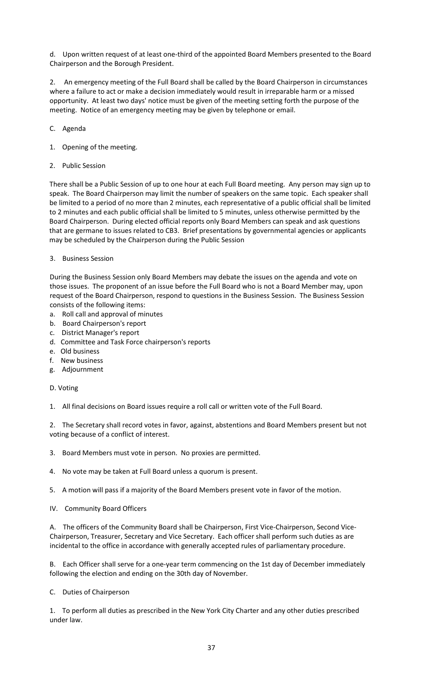d. Upon written request of at least one-third of the appointed Board Members presented to the Board Chairperson and the Borough President.

2. An emergency meeting of the Full Board shall be called by the Board Chairperson in circumstances where a failure to act or make a decision immediately would result in irreparable harm or a missed opportunity. At least two days' notice must be given of the meeting setting forth the purpose of the meeting. Notice of an emergency meeting may be given by telephone or email.

- C. Agenda
- 1. Opening of the meeting.
- 2. Public Session

There shall be a Public Session of up to one hour at each Full Board meeting. Any person may sign up to speak. The Board Chairperson may limit the number of speakers on the same topic. Each speaker shall be limited to a period of no more than 2 minutes, each representative of a public official shall be limited to 2 minutes and each public official shall be limited to 5 minutes, unless otherwise permitted by the Board Chairperson. During elected official reports only Board Members can speak and ask questions that are germane to issues related to CB3. Brief presentations by governmental agencies or applicants may be scheduled by the Chairperson during the Public Session

3. Business Session

During the Business Session only Board Members may debate the issues on the agenda and vote on those issues. The proponent of an issue before the Full Board who is not a Board Member may, upon request of the Board Chairperson, respond to questions in the Business Session. The Business Session consists of the following items:

- a. Roll call and approval of minutes
- b. Board Chairperson's report
- c. District Manager's report
- d. Committee and Task Force chairperson's reports
- e. Old business
- f. New business
- g. Adjournment

### D. Voting

1. All final decisions on Board issues require a roll call or written vote of the Full Board.

2. The Secretary shall record votes in favor, against, abstentions and Board Members present but not voting because of a conflict of interest.

- 3. Board Members must vote in person. No proxies are permitted.
- 4. No vote may be taken at Full Board unless a quorum is present.
- 5. A motion will pass if a majority of the Board Members present vote in favor of the motion.
- IV. Community Board Officers

A. The officers of the Community Board shall be Chairperson, First Vice-Chairperson, Second Vice-Chairperson, Treasurer, Secretary and Vice Secretary. Each officer shall perform such duties as are incidental to the office in accordance with generally accepted rules of parliamentary procedure.

B. Each Officer shall serve for a one-year term commencing on the 1st day of December immediately following the election and ending on the 30th day of November.

C. Duties of Chairperson

1. To perform all duties as prescribed in the New York City Charter and any other duties prescribed under law.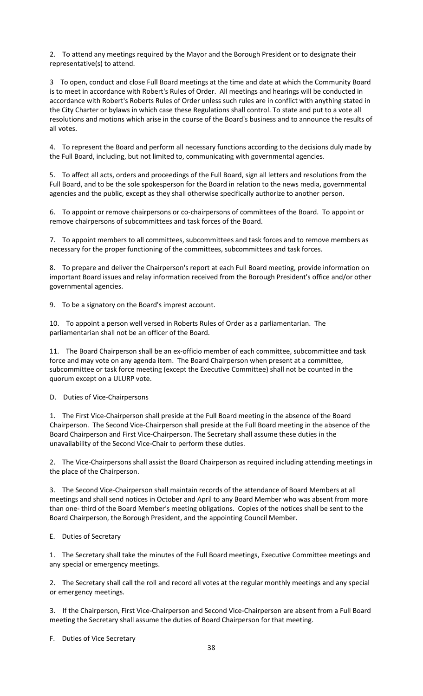2. To attend any meetings required by the Mayor and the Borough President or to designate their representative(s) to attend.

3 To open, conduct and close Full Board meetings at the time and date at which the Community Board is to meet in accordance with Robert's Rules of Order. All meetings and hearings will be conducted in accordance with Robert's Roberts Rules of Order unless such rules are in conflict with anything stated in the City Charter or bylaws in which case these Regulations shall control. To state and put to a vote all resolutions and motions which arise in the course of the Board's business and to announce the results of all votes.

4. To represent the Board and perform all necessary functions according to the decisions duly made by the Full Board, including, but not limited to, communicating with governmental agencies.

5. To affect all acts, orders and proceedings of the Full Board, sign all letters and resolutions from the Full Board, and to be the sole spokesperson for the Board in relation to the news media, governmental agencies and the public, except as they shall otherwise specifically authorize to another person.

6. To appoint or remove chairpersons or co-chairpersons of committees of the Board. To appoint or remove chairpersons of subcommittees and task forces of the Board.

7. To appoint members to all committees, subcommittees and task forces and to remove members as necessary for the proper functioning of the committees, subcommittees and task forces.

8. To prepare and deliver the Chairperson's report at each Full Board meeting, provide information on important Board issues and relay information received from the Borough President's office and/or other governmental agencies.

9. To be a signatory on the Board's imprest account.

10. To appoint a person well versed in Roberts Rules of Order as a parliamentarian. The parliamentarian shall not be an officer of the Board.

11. The Board Chairperson shall be an ex-officio member of each committee, subcommittee and task force and may vote on any agenda item. The Board Chairperson when present at a committee, subcommittee or task force meeting (except the Executive Committee) shall not be counted in the quorum except on a ULURP vote.

D. Duties of Vice-Chairpersons

1. The First Vice-Chairperson shall preside at the Full Board meeting in the absence of the Board Chairperson. The Second Vice-Chairperson shall preside at the Full Board meeting in the absence of the Board Chairperson and First Vice-Chairperson. The Secretary shall assume these duties in the unavailability of the Second Vice-Chair to perform these duties.

2. The Vice-Chairpersons shall assist the Board Chairperson as required including attending meetings in the place of the Chairperson.

3. The Second Vice-Chairperson shall maintain records of the attendance of Board Members at all meetings and shall send notices in October and April to any Board Member who was absent from more than one- third of the Board Member's meeting obligations. Copies of the notices shall be sent to the Board Chairperson, the Borough President, and the appointing Council Member.

### E. Duties of Secretary

1. The Secretary shall take the minutes of the Full Board meetings, Executive Committee meetings and any special or emergency meetings.

2. The Secretary shall call the roll and record all votes at the regular monthly meetings and any special or emergency meetings.

3. If the Chairperson, First Vice-Chairperson and Second Vice-Chairperson are absent from a Full Board meeting the Secretary shall assume the duties of Board Chairperson for that meeting.

F. Duties of Vice Secretary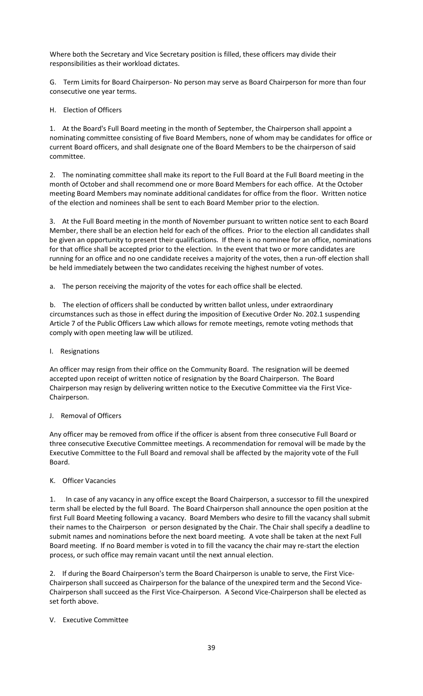Where both the Secretary and Vice Secretary position is filled, these officers may divide their responsibilities as their workload dictates.

G. Term Limits for Board Chairperson- No person may serve as Board Chairperson for more than four consecutive one year terms.

H. Election of Officers

1. At the Board's Full Board meeting in the month of September, the Chairperson shall appoint a nominating committee consisting of five Board Members, none of whom may be candidates for office or current Board officers, and shall designate one of the Board Members to be the chairperson of said committee.

2. The nominating committee shall make its report to the Full Board at the Full Board meeting in the month of October and shall recommend one or more Board Members for each office. At the October meeting Board Members may nominate additional candidates for office from the floor. Written notice of the election and nominees shall be sent to each Board Member prior to the election.

3. At the Full Board meeting in the month of November pursuant to written notice sent to each Board Member, there shall be an election held for each of the offices. Prior to the election all candidates shall be given an opportunity to present their qualifications. If there is no nominee for an office, nominations for that office shall be accepted prior to the election. In the event that two or more candidates are running for an office and no one candidate receives a majority of the votes, then a run-off election shall be held immediately between the two candidates receiving the highest number of votes.

a. The person receiving the majority of the votes for each office shall be elected.

b. The election of officers shall be conducted by written ballot unless, under extraordinary circumstances such as those in effect during the imposition of Executive Order No. 202.1 suspending Article 7 of the Public Officers Law which allows for remote meetings, remote voting methods that comply with open meeting law will be utilized.

I. Resignations

An officer may resign from their office on the Community Board. The resignation will be deemed accepted upon receipt of written notice of resignation by the Board Chairperson. The Board Chairperson may resign by delivering written notice to the Executive Committee via the First Vice-Chairperson.

### J. Removal of Officers

Any officer may be removed from office if the officer is absent from three consecutive Full Board or three consecutive Executive Committee meetings. A recommendation for removal will be made by the Executive Committee to the Full Board and removal shall be affected by the majority vote of the Full Board.

### K. Officer Vacancies

1. In case of any vacancy in any office except the Board Chairperson, a successor to fill the unexpired term shall be elected by the full Board. The Board Chairperson shall announce the open position at the first Full Board Meeting following a vacancy. Board Members who desire to fill the vacancy shall submit their names to the Chairperson or person designated by the Chair. The Chair shall specify a deadline to submit names and nominations before the next board meeting. A vote shall be taken at the next Full Board meeting. If no Board member is voted in to fill the vacancy the chair may re-start the election process, or such office may remain vacant until the next annual election.

2. If during the Board Chairperson's term the Board Chairperson is unable to serve, the First Vice-Chairperson shall succeed as Chairperson for the balance of the unexpired term and the Second Vice-Chairperson shall succeed as the First Vice-Chairperson. A Second Vice-Chairperson shall be elected as set forth above.

# V. Executive Committee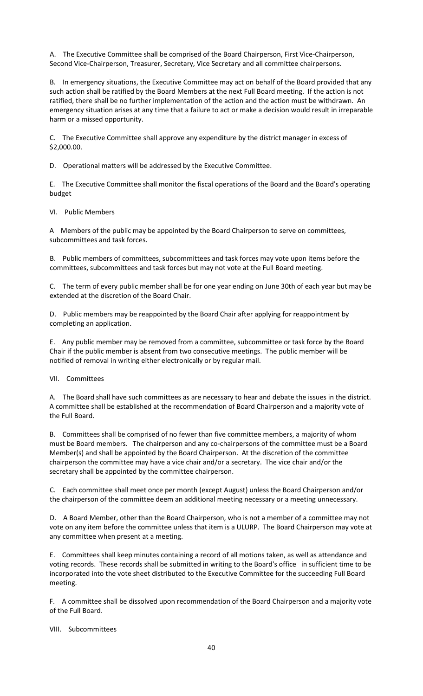A. The Executive Committee shall be comprised of the Board Chairperson, First Vice-Chairperson, Second Vice-Chairperson, Treasurer, Secretary, Vice Secretary and all committee chairpersons.

B. In emergency situations, the Executive Committee may act on behalf of the Board provided that any such action shall be ratified by the Board Members at the next Full Board meeting. If the action is not ratified, there shall be no further implementation of the action and the action must be withdrawn. An emergency situation arises at any time that a failure to act or make a decision would result in irreparable harm or a missed opportunity.

C. The Executive Committee shall approve any expenditure by the district manager in excess of \$2,000.00.

D. Operational matters will be addressed by the Executive Committee.

E. The Executive Committee shall monitor the fiscal operations of the Board and the Board's operating budget

VI. Public Members

A Members of the public may be appointed by the Board Chairperson to serve on committees, subcommittees and task forces.

B. Public members of committees, subcommittees and task forces may vote upon items before the committees, subcommittees and task forces but may not vote at the Full Board meeting.

C. The term of every public member shall be for one year ending on June 30th of each year but may be extended at the discretion of the Board Chair.

D. Public members may be reappointed by the Board Chair after applying for reappointment by completing an application.

E. Any public member may be removed from a committee, subcommittee or task force by the Board Chair if the public member is absent from two consecutive meetings. The public member will be notified of removal in writing either electronically or by regular mail.

VII. Committees

A. The Board shall have such committees as are necessary to hear and debate the issues in the district. A committee shall be established at the recommendation of Board Chairperson and a majority vote of the Full Board.

B. Committees shall be comprised of no fewer than five committee members, a majority of whom must be Board members. The chairperson and any co-chairpersons of the committee must be a Board Member(s) and shall be appointed by the Board Chairperson. At the discretion of the committee chairperson the committee may have a vice chair and/or a secretary. The vice chair and/or the secretary shall be appointed by the committee chairperson.

C. Each committee shall meet once per month (except August) unless the Board Chairperson and/or the chairperson of the committee deem an additional meeting necessary or a meeting unnecessary.

D. A Board Member, other than the Board Chairperson, who is not a member of a committee may not vote on any item before the committee unless that item is a ULURP. The Board Chairperson may vote at any committee when present at a meeting.

E. Committees shall keep minutes containing a record of all motions taken, as well as attendance and voting records. These records shall be submitted in writing to the Board's office in sufficient time to be incorporated into the vote sheet distributed to the Executive Committee for the succeeding Full Board meeting.

F. A committee shall be dissolved upon recommendation of the Board Chairperson and a majority vote of the Full Board.

VIII. Subcommittees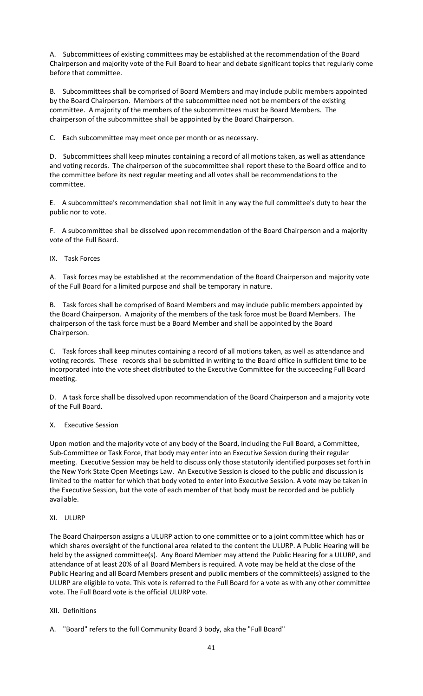A. Subcommittees of existing committees may be established at the recommendation of the Board Chairperson and majority vote of the Full Board to hear and debate significant topics that regularly come before that committee.

B. Subcommittees shall be comprised of Board Members and may include public members appointed by the Board Chairperson. Members of the subcommittee need not be members of the existing committee. A majority of the members of the subcommittees must be Board Members. The chairperson of the subcommittee shall be appointed by the Board Chairperson.

C. Each subcommittee may meet once per month or as necessary.

D. Subcommittees shall keep minutes containing a record of all motions taken, as well as attendance and voting records. The chairperson of the subcommittee shall report these to the Board office and to the committee before its next regular meeting and all votes shall be recommendations to the committee.

E. A subcommittee's recommendation shall not limit in any way the full committee's duty to hear the public nor to vote.

F. A subcommittee shall be dissolved upon recommendation of the Board Chairperson and a majority vote of the Full Board.

IX. Task Forces

A. Task forces may be established at the recommendation of the Board Chairperson and majority vote of the Full Board for a limited purpose and shall be temporary in nature.

B. Task forces shall be comprised of Board Members and may include public members appointed by the Board Chairperson. A majority of the members of the task force must be Board Members. The chairperson of the task force must be a Board Member and shall be appointed by the Board Chairperson.

C. Task forces shall keep minutes containing a record of all motions taken, as well as attendance and voting records. These records shall be submitted in writing to the Board office in sufficient time to be incorporated into the vote sheet distributed to the Executive Committee for the succeeding Full Board meeting.

D. A task force shall be dissolved upon recommendation of the Board Chairperson and a majority vote of the Full Board.

### X. Executive Session

Upon motion and the majority vote of any body of the Board, including the Full Board, a Committee, Sub-Committee or Task Force, that body may enter into an Executive Session during their regular meeting. Executive Session may be held to discuss only those statutorily identified purposes set forth in the New York State Open Meetings Law. An Executive Session is closed to the public and discussion is limited to the matter for which that body voted to enter into Executive Session. A vote may be taken in the Executive Session, but the vote of each member of that body must be recorded and be publicly available.

### XI. ULURP

The Board Chairperson assigns a ULURP action to one committee or to a joint committee which has or which shares oversight of the functional area related to the content the ULURP. A Public Hearing will be held by the assigned committee(s). Any Board Member may attend the Public Hearing for a ULURP, and attendance of at least 20% of all Board Members is required. A vote may be held at the close of the Public Hearing and all Board Members present and public members of the committee(s) assigned to the ULURP are eligible to vote. This vote is referred to the Full Board for a vote as with any other committee vote. The Full Board vote is the official ULURP vote.

### XII. Definitions

A. "Board" refers to the full Community Board 3 body, aka the "Full Board"